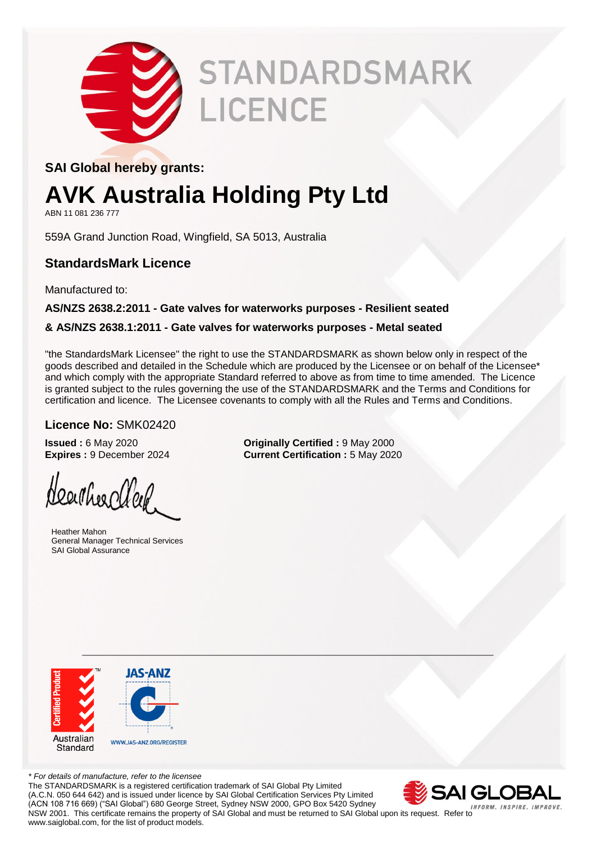

# **STANDARDSMARK** LICENCE

#### **SAI Global hereby grants:**

### **AVK Australia Holding Pty Ltd**

ABN 11 081 236 777

559A Grand Junction Road, Wingfield, SA 5013, Australia

#### **StandardsMark Licence**

Manufactured to:

#### **AS/NZS 2638.2:2011 - Gate valves for waterworks purposes - Resilient seated**

#### **& AS/NZS 2638.1:2011 - Gate valves for waterworks purposes - Metal seated**

"the StandardsMark Licensee" the right to use the STANDARDSMARK as shown below only in respect of the goods described and detailed in the Schedule which are produced by the Licensee or on behalf of the Licensee\* and which comply with the appropriate Standard referred to above as from time to time amended. The Licence is granted subject to the rules governing the use of the STANDARDSMARK and the Terms and Conditions for certification and licence. The Licensee covenants to comply with all the Rules and Terms and Conditions.

#### **Licence No:** SMK02420

Heartheachler.

 Heather Mahon General Manager Technical Services SAI Global Assurance

**Issued :** 6 May 2020 **Originally Certified :** 9 May 2000 **Expires :** 9 December 2024 **Current Certification :** 5 May 2020



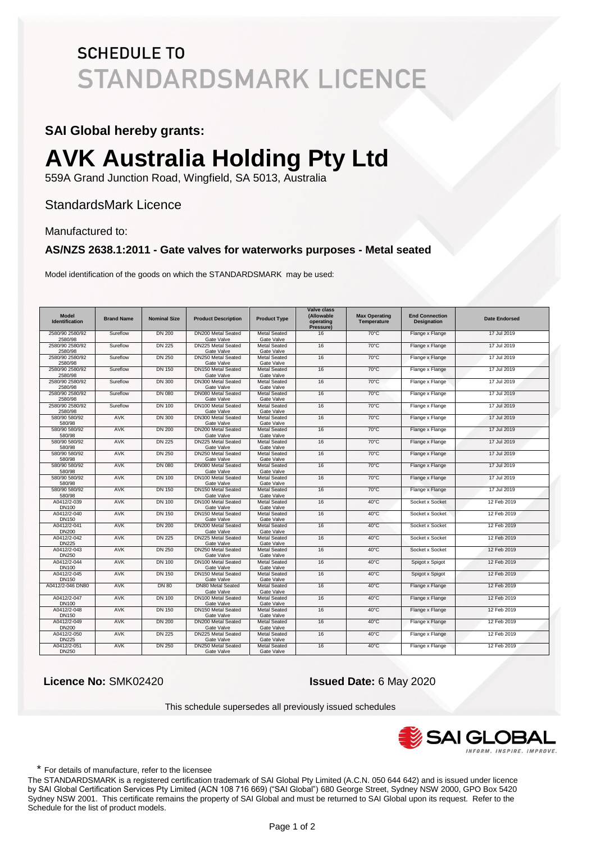#### **SAI Global hereby grants:**

## **AVK Australia Holding Pty Ltd**

559A Grand Junction Road, Wingfield, SA 5013, Australia

#### StandardsMark Licence

#### Manufactured to:

#### **AS/NZS 2638.1:2011 - Gate valves for waterworks purposes - Metal seated**

Model identification of the goods on which the STANDARDSMARK may be used:

| <b>Model</b><br><b>Identification</b> | <b>Brand Name</b> | <b>Nominal Size</b> | <b>Product Description</b>              | <b>Product Type</b>               | <b>Valve class</b><br>(Allowable<br>operating<br>Pressure) | <b>Max Operating</b><br>Temperature | <b>End Connection</b><br><b>Designation</b> | <b>Date Endorsed</b> |
|---------------------------------------|-------------------|---------------------|-----------------------------------------|-----------------------------------|------------------------------------------------------------|-------------------------------------|---------------------------------------------|----------------------|
| 2580/90 2580/92<br>2580/98            | Sureflow          | DN 200              | DN200 Metal Seated<br>Gate Valve        | <b>Metal Seated</b><br>Gate Valve | 16                                                         | 70°C                                | Flange x Flange                             | 17 Jul 2019          |
| 2580/90 2580/92<br>2580/98            | Sureflow          | <b>DN 225</b>       | DN225 Metal Seated<br>Gate Valve        | <b>Metal Seated</b><br>Gate Valve | 16                                                         | $70^{\circ}$ C                      | Flange x Flange                             | 17 Jul 2019          |
| 2580/90 2580/92<br>2580/98            | Sureflow          | <b>DN 250</b>       | DN250 Metal Seated<br>Gate Valve        | <b>Metal Seated</b><br>Gate Valve | 16                                                         | $70^{\circ}$ C                      | Flange x Flange                             | 17 Jul 2019          |
| 2580/90 2580/92<br>2580/98            | Sureflow          | <b>DN 150</b>       | DN150 Metal Seated<br>Gate Valve        | <b>Metal Seated</b><br>Gate Valve | 16                                                         | $70^{\circ}$ C                      | Flange x Flange                             | 17 Jul 2019          |
| 2580/90 2580/92<br>2580/98            | Sureflow          | <b>DN 300</b>       | DN300 Metal Seated<br>Gate Valve        | <b>Metal Seated</b><br>Gate Valve | 16                                                         | $70^{\circ}$ C                      | Flange x Flange                             | 17 Jul 2019          |
| 2580/90 2580/92<br>2580/98            | Sureflow          | <b>DN 080</b>       | DN080 Metal Seated<br>Gate Valve        | <b>Metal Seated</b><br>Gate Valve | 16                                                         | $70^{\circ}$ C                      | Flange x Flange                             | 17 Jul 2019          |
| 2580/90 2580/92<br>2580/98            | Sureflow          | <b>DN 100</b>       | DN100 Metal Seated<br>Gate Valve        | <b>Metal Seated</b><br>Gate Valve | 16                                                         | $70^{\circ}$ C                      | Flange x Flange                             | 17 Jul 2019          |
| 580/90 580/92<br>580/98               | <b>AVK</b>        | <b>DN 300</b>       | DN300 Metal Seated<br>Gate Valve        | <b>Metal Seated</b><br>Gate Valve | 16                                                         | $70^{\circ}$ C                      | Flange x Flange                             | 17 Jul 2019          |
| 580/90 580/92<br>580/98               | <b>AVK</b>        | <b>DN 200</b>       | DN200 Metal Seated<br>Gate Valve        | <b>Metal Seated</b><br>Gate Valve | 16                                                         | $70^{\circ}$ C                      | Flange x Flange                             | 17 Jul 2019          |
| 580/90 580/92<br>580/98               | <b>AVK</b>        | <b>DN 225</b>       | DN225 Metal Seated<br>Gate Valve        | <b>Metal Seated</b><br>Gate Valve | 16                                                         | $70^{\circ}$ C                      | Flange x Flange                             | 17 Jul 2019          |
| 580/90 580/92<br>580/98               | <b>AVK</b>        | <b>DN 250</b>       | DN250 Metal Seated<br>Gate Valve        | <b>Metal Seated</b><br>Gate Valve | 16                                                         | $70^{\circ}$ C                      | Flange x Flange                             | 17 Jul 2019          |
| 580/90 580/92<br>580/98               | <b>AVK</b>        | <b>DN 080</b>       | DN080 Metal Seated<br>Gate Valve        | <b>Metal Seated</b><br>Gate Valve | 16                                                         | $70^{\circ}$ C                      | Flange x Flange                             | 17 Jul 2019          |
| 580/90 580/92<br>580/98               | <b>AVK</b>        | <b>DN 100</b>       | DN100 Metal Seated<br>Gate Valve        | <b>Metal Seated</b><br>Gate Valve | 16                                                         | $70^{\circ}$ C                      | Flange x Flange                             | 17 Jul 2019          |
| 580/90 580/92<br>580/98               | <b>AVK</b>        | <b>DN 150</b>       | DN150 Metal Seated<br>Gate Valve        | <b>Metal Seated</b><br>Gate Valve | 16                                                         | $70^{\circ}$ C                      | Flange x Flange                             | 17 Jul 2019          |
| A0412/2-039<br><b>DN100</b>           | <b>AVK</b>        | <b>DN 100</b>       | DN100 Metal Seated<br>Gate Valve        | <b>Metal Seated</b><br>Gate Valve | 16                                                         | $40^{\circ}$ C                      | Socket x Socket                             | 12 Feb 2019          |
| A0412/2-040<br><b>DN150</b>           | <b>AVK</b>        | <b>DN 150</b>       | DN150 Metal Seated<br>Gate Valve        | <b>Metal Seated</b><br>Gate Valve | 16                                                         | $40^{\circ}$ C                      | Socket x Socket                             | 12 Feb 2019          |
| A0412/2-041<br><b>DN200</b>           | <b>AVK</b>        | <b>DN 200</b>       | DN200 Metal Seated<br>Gate Valve        | <b>Metal Seated</b><br>Gate Valve | 16                                                         | $40^{\circ}$ C                      | Socket x Socket                             | 12 Feb 2019          |
| A0412/2-042<br><b>DN225</b>           | <b>AVK</b>        | <b>DN 225</b>       | <b>DN225 Metal Seated</b><br>Gate Valve | <b>Metal Seated</b><br>Gate Valve | 16                                                         | $40^{\circ}$ C                      | Socket x Socket                             | 12 Feb 2019          |
| A0412/2-043<br><b>DN250</b>           | <b>AVK</b>        | <b>DN 250</b>       | DN250 Metal Seated<br>Gate Valve        | <b>Metal Seated</b><br>Gate Valve | 16                                                         | $40^{\circ}$ C                      | Socket x Socket                             | 12 Feb 2019          |
| A0412/2-044<br><b>DN100</b>           | <b>AVK</b>        | <b>DN 100</b>       | DN100 Metal Seated<br>Gate Valve        | <b>Metal Seated</b><br>Gate Valve | 16                                                         | $40^{\circ}$ C                      | Spigot x Spigot                             | 12 Feb 2019          |
| A0412/2-045<br><b>DN150</b>           | <b>AVK</b>        | <b>DN 150</b>       | DN150 Metal Seated<br>Gate Valve        | <b>Metal Seated</b><br>Gate Valve | 16                                                         | $40^{\circ}$ C                      | Spigot x Spigot                             | 12 Feb 2019          |
| A0412/2-046 DN80                      | <b>AVK</b>        | <b>DN 80</b>        | DN80 Metal Seated<br>Gate Valve         | <b>Metal Seated</b><br>Gate Valve | 16                                                         | $40^{\circ}$ C                      | Flange x Flange                             | 12 Feb 2019          |
| A0412/2-047<br><b>DN100</b>           | <b>AVK</b>        | <b>DN 100</b>       | DN100 Metal Seated<br>Gate Valve        | <b>Metal Seated</b><br>Gate Valve | 16                                                         | $40^{\circ}$ C                      | Flange x Flange                             | 12 Feb 2019          |
| A0412/2-048<br><b>DN150</b>           | <b>AVK</b>        | <b>DN 150</b>       | DN150 Metal Seated<br>Gate Valve        | <b>Metal Seated</b><br>Gate Valve | 16                                                         | $40^{\circ}$ C                      | Flange x Flange                             | 12 Feb 2019          |
| A0412/2-049<br><b>DN200</b>           | <b>AVK</b>        | <b>DN 200</b>       | DN200 Metal Seated<br>Gate Valve        | <b>Metal Seated</b><br>Gate Valve | 16                                                         | $40^{\circ}$ C                      | Flange x Flange                             | 12 Feb 2019          |
| A0412/2-050<br><b>DN225</b>           | <b>AVK</b>        | <b>DN 225</b>       | <b>DN225 Metal Seated</b><br>Gate Valve | <b>Metal Seated</b><br>Gate Valve | 16                                                         | $40^{\circ}$ C                      | Flange x Flange                             | 12 Feb 2019          |
| A0412/2-051<br><b>DN250</b>           | <b>AVK</b>        | <b>DN 250</b>       | DN250 Metal Seated<br>Gate Valve        | <b>Metal Seated</b><br>Gate Valve | 16                                                         | $40^{\circ}$ C                      | Flange x Flange                             | 12 Feb 2019          |

 **Licence No:** SMK02420 **Issued Date:** 6 May 2020

This schedule supersedes all previously issued schedules



\* For details of manufacture, refer to the licensee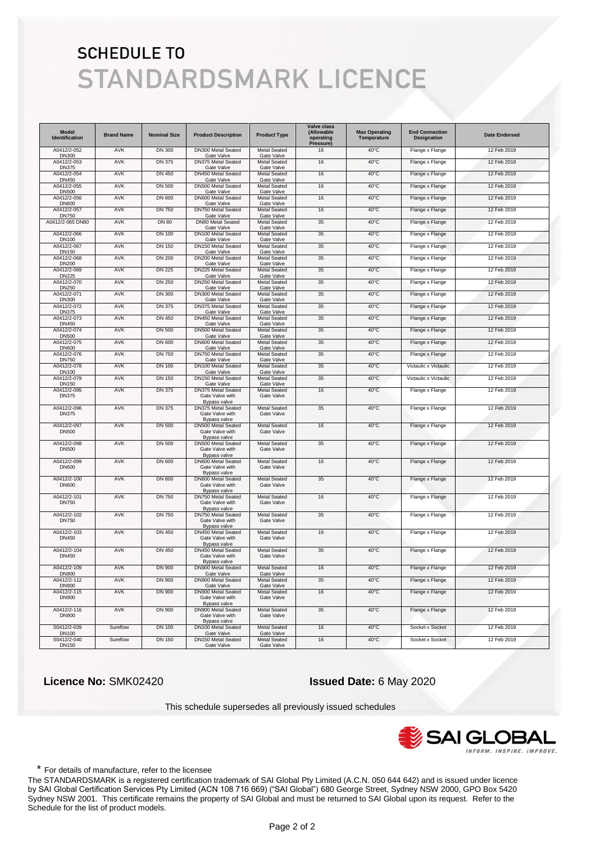| <b>Model</b><br>Identification | <b>Brand Name</b> | <b>Nominal Size</b> | <b>Product Description</b>                                            | <b>Product Type</b>               | <b>Valve class</b><br>(Allowable<br>operating<br>Pressure) | <b>Max Operating</b><br>Temperature | <b>End Connection</b><br><b>Designation</b> | <b>Date Endorsed</b> |
|--------------------------------|-------------------|---------------------|-----------------------------------------------------------------------|-----------------------------------|------------------------------------------------------------|-------------------------------------|---------------------------------------------|----------------------|
| A0412/2-052<br><b>DN300</b>    | AVK               | <b>DN 300</b>       | DN300 Metal Seated<br>Gate Valve                                      | <b>Metal Seated</b><br>Gate Valve | 16                                                         | 40°C                                | Flange x Flange                             | 12 Feb 2019          |
| A0412/2-053<br><b>DN375</b>    | AVK               | <b>DN 375</b>       | DN375 Metal Seated<br>Gate Valve                                      | <b>Metal Seated</b><br>Gate Valve | 16                                                         | 40°C                                | Flange x Flange                             | 12 Feb 2019          |
| A0412/2-054<br><b>DN450</b>    | AVK               | <b>DN 450</b>       | DN450 Metal Seated<br>Gate Valve                                      | <b>Metal Seated</b><br>Gate Valve | 16                                                         | 40°C                                | Flange x Flange                             | 12 Feb 2019          |
| A0412/2-055<br><b>DN500</b>    | AVK               | <b>DN 500</b>       | DN500 Metal Seated<br>Gate Valve                                      | <b>Metal Seated</b><br>Gate Valve | 16                                                         | 40°C                                | Flange x Flange                             | 12 Feb 2019          |
| A0412/2-056<br><b>DN600</b>    | AVK               | <b>DN 600</b>       | DN600 Metal Seated<br>Gate Valve                                      | <b>Metal Seated</b><br>Gate Valve | 16                                                         | 40°C                                | Flange x Flange                             | 12 Feb 2019          |
| A0412/2-057<br><b>DN750</b>    | AVK               | <b>DN 750</b>       | DN750 Metal Seated<br>Gate Valve                                      | <b>Metal Seated</b><br>Gate Valve | 16                                                         | 40°C                                | Flange x Flange                             | 12 Feb 2019          |
| A0412/2-065 DN80               | AVK               | <b>DN 80</b>        | DN80 Metal Seated<br>Gate Valve                                       | <b>Metal Seated</b><br>Gate Valve | 35                                                         | 40°C                                | Flange x Flange                             | 12 Feb 2019          |
| A0412/2-066<br>DN100           | AVK               | <b>DN 100</b>       | DN100 Metal Seated<br>Gate Valve                                      | <b>Metal Seated</b><br>Gate Valve | 35                                                         | 40°C                                | Flange x Flange                             | 12 Feb 2019          |
| A0412/2-067<br>DN150           | AVK               | <b>DN 150</b>       | DN150 Metal Seated<br>Gate Valve                                      | <b>Metal Seated</b><br>Gate Valve | 35                                                         | 40°C                                | Flange x Flange                             | 12 Feb 2019          |
| A0412/2-068                    | AVK               | <b>DN 200</b>       | DN200 Metal Seated                                                    | <b>Metal Seated</b>               | 35                                                         | 40°C                                | Flange x Flange                             | 12 Feb 2019          |
| <b>DN200</b><br>A0412/2-069    | AVK               | <b>DN 225</b>       | Gate Valve<br>DN225 Metal Seated                                      | Gate Valve<br><b>Metal Seated</b> | 35                                                         | 40°C                                | Flange x Flange                             | 12 Feb 2019          |
| <b>DN225</b><br>A0412/2-070    | AVK               | <b>DN 250</b>       | Gate Valve<br>DN250 Metal Seated                                      | Gate Valve<br><b>Metal Seated</b> | 35                                                         | 40°C                                | Flange x Flange                             | 12 Feb 2019          |
| DN250<br>A0412/2-071           | AVK               | <b>DN 300</b>       | Gate Valve<br>DN300 Metal Seated                                      | Gate Valve<br><b>Metal Seated</b> | 35                                                         | 40°C                                | Flange x Flange                             | 12 Feb 2019          |
| DN300<br>A0412/2-072           | AVK               | <b>DN 375</b>       | Gate Valve<br>DN375 Metal Seated                                      | Gate Valve<br><b>Metal Seated</b> | 35                                                         | 40°C                                | Flange x Flange                             | 12 Feb 2019          |
| <b>DN375</b><br>A0412/2-073    | AVK               | DN 450              | Gate Valve<br>DN450 Metal Seated                                      | Gate Valve<br><b>Metal Seated</b> | 35                                                         | 40°C                                | Flange x Flange                             | 12 Feb 2019          |
| DN450<br>A0412/2-074           | AVK               | <b>DN 500</b>       | Gate Valve<br>DN500 Metal Seated                                      | Gate Valve<br><b>Metal Seated</b> | 35                                                         | 40°C                                | Flange x Flange                             | 12 Feb 2019          |
| <b>DN500</b><br>A0412/2-075    | AVK               | DN 600              | Gate Valve<br>DN600 Metal Seated                                      | Gate Valve<br><b>Metal Seated</b> | 35                                                         | 40°C                                | Flange x Flange                             | 12 Feb 2019          |
| <b>DN600</b><br>A0412/2-076    | AVK               | <b>DN 750</b>       | Gate Valve<br>DN750 Metal Seated                                      | Gate Valve<br><b>Metal Seated</b> | 35                                                         | 40°C                                | Flange x Flange                             | 12 Feb 2019          |
| <b>DN750</b><br>A0412/2-078    | AVK               | <b>DN 100</b>       | Gate Valve<br>DN100 Metal Seated                                      | Gate Valve<br><b>Metal Seated</b> | 35                                                         | 40°C                                | Victaulic x Victaulic                       | 12 Feb 2019          |
| DN100<br>A0412/2-079           | AVK               | <b>DN 150</b>       | Gate Valve<br>DN150 Metal Seated                                      | Gate Valve<br><b>Metal Seated</b> | 35                                                         | 40°C                                | Victaulic x Victaulic                       | 12 Feb 2019          |
| DN150<br>A0412/2-095           | AVK               | DN 375              | Gate Valve<br>DN375 Metal Seated                                      | Gate Valve<br><b>Metal Seated</b> | 16                                                         | 40°C                                | Flange x Flange                             | 12 Feb 2019          |
| <b>DN375</b>                   |                   |                     | Gate Valve with<br>Bypass valve                                       | Gate Valve                        |                                                            |                                     |                                             |                      |
| A0412/2-096<br><b>DN375</b>    | AVK               | <b>DN 375</b>       | DN375 Metal Seated<br>Gate Valve with<br>Bypass valve                 | <b>Metal Seated</b><br>Gate Valve | 35                                                         | 40°C                                | Flange x Flange                             | 12 Feb 2019          |
| A0412/2-097<br><b>DN500</b>    | AVK               | <b>DN 500</b>       | DN500 Metal Seated<br>Gate Valve with<br>Bypass valve                 | <b>Metal Seated</b><br>Gate Valve | 16                                                         | $40^{\circ}$ C                      | Flange x Flange                             | 12 Feb 2019          |
| A0412/2-098<br><b>DN500</b>    | AVK               | <b>DN 500</b>       | DN500 Metal Seated<br>Gate Valve with<br>Bypass valve                 | <b>Metal Seated</b><br>Gate Valve | 35                                                         | $40^{\circ}$ C                      | Flange x Flange                             | 12 Feb 2019          |
| A0412/2-099<br><b>DN600</b>    | AVK               | <b>DN 600</b>       | DN600 Metal Seated<br>Gate Valve with<br>Bypass valve                 | <b>Metal Seated</b><br>Gate Valve | 16                                                         | $40^{\circ}$ C                      | Flange x Flange                             | 12 Feb 2019          |
| A0412/2-100<br><b>DN600</b>    | AVK               | <b>DN 600</b>       | DN600 Metal Seated<br>Gate Valve with                                 | <b>Metal Seated</b><br>Gate Valve | 35                                                         | $40^{\circ}$ C                      | Flange x Flange                             | 12 Feb 2019          |
| A0412/2-101<br><b>DN750</b>    | AVK               | <b>DN 750</b>       | Bypass valve<br>DN750 Metal Seated<br>Gate Valve with<br>Bypass valve | Metal Seated<br>Gate Valve        | 16                                                         | 40°C                                | Flange x Flange                             | 12 Feb 2019          |
| A0412/2-102<br><b>DN750</b>    | <b>AVK</b>        | <b>DN 750</b>       | DN750 Metal Seated<br>Gate Valve with<br>Bypass valve                 | <b>Metal Seated</b><br>Gate Valve | 35                                                         | $40^{\circ}$ C                      | Flange x Flange                             | 12 Feb 2019          |
| A0412/2-103<br><b>DN450</b>    | AVK               | <b>DN 450</b>       | DN450 Metal Seated<br>Gate Valve with<br>Bypass valve                 | <b>Metal Seated</b><br>Gate Valve | 16                                                         | 40°C                                | Flange x Flange                             | 12 Feb 2019          |
| A0412/2-104<br><b>DN450</b>    | <b>AVK</b>        | <b>DN 450</b>       | DN450 Metal Seated<br>Gate Valve with<br>Bypass valve                 | Metal Seated<br>Gate Valve        | 35                                                         | $40^{\circ}$ C                      | Flange x Flange                             | 12 Feb 2019          |
| A0412/2-109<br><b>DN900</b>    | AVK               | <b>DN 900</b>       | DN900 Metal Seated<br>Gate Valve                                      | <b>Metal Seated</b><br>Gate Valve | 16                                                         | $40^{\circ}$ C                      | Flange x Flange                             | 12 Feb 2019          |
| A0412/2-112<br><b>DN900</b>    | AVK               | DN 900              | DN900 Metal Seated<br>Gate Valve                                      | Metal Seated<br>Gate Valve        | 35                                                         | $40^{\circ}$ C                      | Flange x Flange                             | 12 Feb 2019          |
| A0412/2-115<br><b>DN900</b>    | AVK               | <b>DN 900</b>       | DN900 Metal Seated<br>Gate Valve with                                 | Metal Seated<br>Gate Valve        | 16                                                         | $40^{\circ}$ C                      | Flange x Flange                             | 12 Feb 2019          |
| A0412/2-116<br><b>DN900</b>    | AVK               | <b>DN 900</b>       | Bypass valve<br>DN900 Metal Seated<br>Gate Valve with<br>Bypass valve | <b>Metal Seated</b><br>Gate Valve | 35                                                         | $40^{\circ}$ C                      | Flange x Flange                             | 12 Feb 2019          |
| S0412/2-039<br><b>DN100</b>    | Sureflow          | <b>DN 100</b>       | DN100 Metal Seated<br>Gate Valve                                      | <b>Metal Seated</b><br>Gate Valve | 16                                                         | 40°C                                | Socket x Socket                             | 12 Feb 2019          |
| S0412/2-040<br><b>DN150</b>    | Sureflow          | <b>DN 150</b>       | DN150 Metal Seated<br>Gate Valve                                      | Metal Seated<br>Gate Valve        | 16                                                         | 40°C                                | Socket x Socket                             | 12 Feb 2019          |

 **Licence No:** SMK02420 **Issued Date:** 6 May 2020

This schedule supersedes all previously issued schedules



\* For details of manufacture, refer to the licensee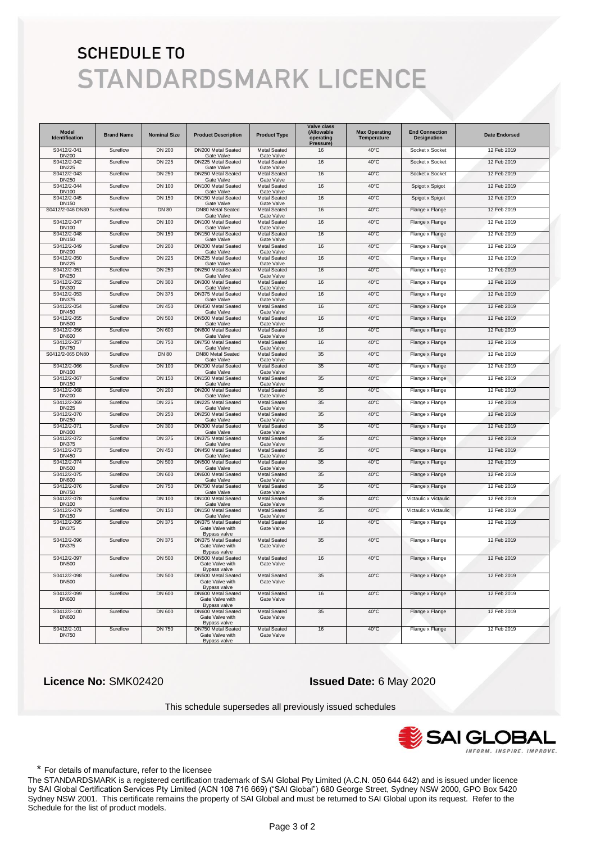| <b>Model</b><br><b>Identification</b> | <b>Brand Name</b> | <b>Nominal Size</b> | <b>Product Description</b>                                   | <b>Product Type</b>               | <b>Valve class</b><br>(Allowable<br>operating<br>Pressure) | <b>Max Operating</b><br>Temperature | <b>End Connection</b><br><b>Designation</b> | <b>Date Endorsed</b> |
|---------------------------------------|-------------------|---------------------|--------------------------------------------------------------|-----------------------------------|------------------------------------------------------------|-------------------------------------|---------------------------------------------|----------------------|
| S0412/2-041<br><b>DN200</b>           | Sureflow          | <b>DN 200</b>       | DN200 Metal Seated<br>Gate Valve                             | <b>Metal Seated</b><br>Gate Valve | 16                                                         | $40^{\circ}$ C                      | Socket x Socket                             | 12 Feb 2019          |
| S0412/2-042<br><b>DN225</b>           | Sureflow          | <b>DN 225</b>       | DN225 Metal Seated<br>Gate Valve                             | <b>Metal Seated</b><br>Gate Valve | 16                                                         | $40^{\circ}$ C                      | Socket x Socket                             | 12 Feb 2019          |
| S0412/2-043<br><b>DN250</b>           | Sureflow          | <b>DN 250</b>       | DN250 Metal Seated<br>Gate Valve                             | <b>Metal Seated</b><br>Gate Valve | 16                                                         | $40^{\circ}$ C                      | Socket x Socket                             | 12 Feb 2019          |
| S0412/2-044<br><b>DN100</b>           | Sureflow          | <b>DN 100</b>       | DN100 Metal Seated<br>Gate Valve                             | <b>Metal Seated</b><br>Gate Valve | 16                                                         | $40^{\circ}$ C                      | Spigot x Spigot                             | 12 Feb 2019          |
| S0412/2-045<br><b>DN150</b>           | Sureflow          | <b>DN 150</b>       | DN150 Metal Seated<br>Gate Valve                             | <b>Metal Seated</b><br>Gate Valve | 16                                                         | $40^{\circ}$ C                      | Spigot x Spigot                             | 12 Feb 2019          |
| S0412/2-046 DN80                      | Sureflow          | <b>DN 80</b>        | DN80 Metal Seated<br>Gate Valve                              | Metal Seated<br>Gate Valve        | 16                                                         | $40^{\circ}$ C                      | Flange x Flange                             | 12 Feb 2019          |
| S0412/2-047<br><b>DN100</b>           | Sureflow          | <b>DN 100</b>       | DN100 Metal Seated<br>Gate Valve                             | <b>Metal Seated</b><br>Gate Valve | 16                                                         | $40^{\circ}$ C                      | Flange x Flange                             | 12 Feb 2019          |
| S0412/2-048<br><b>DN150</b>           | Sureflow          | DN 150              | DN150 Metal Seated<br>Gate Valve                             | <b>Metal Seated</b><br>Gate Valve | 16                                                         | $40^{\circ}$ C                      | Flange x Flange                             | 12 Feb 2019          |
| S0412/2-049<br><b>DN200</b>           | Sureflow          | <b>DN 200</b>       | DN200 Metal Seated<br>Gate Valve                             | <b>Metal Seated</b><br>Gate Valve | 16                                                         | $40^{\circ}$ C                      | Flange x Flange                             | 12 Feb 2019          |
| S0412/2-050<br><b>DN225</b>           | Sureflow          | <b>DN 225</b>       | DN225 Metal Seated<br>Gate Valve                             | <b>Metal Seated</b><br>Gate Valve | 16                                                         | $40^{\circ}$ C                      | Flange x Flange                             | 12 Feb 2019          |
| S0412/2-051<br>DN250                  | Sureflow          | <b>DN 250</b>       | DN250 Metal Seated<br>Gate Valve                             | Metal Seated<br>Gate Valve        | 16                                                         | $40^{\circ}$ C                      | Flange x Flange                             | 12 Feb 2019          |
| S0412/2-052<br><b>DN300</b>           | Sureflow          | <b>DN 300</b>       | DN300 Metal Seated<br>Gate Valve                             | Metal Seated<br>Gate Valve        | 16                                                         | $40^{\circ}$ C                      | Flange x Flange                             | 12 Feb 2019          |
| S0412/2-053<br><b>DN375</b>           | Sureflow          | <b>DN 375</b>       | DN375 Metal Seated<br>Gate Valve                             | <b>Metal Seated</b><br>Gate Valve | 16                                                         | $40^{\circ}$ C                      | Flange x Flange                             | 12 Feb 2019          |
| S0412/2-054<br>DN450                  | Sureflow          | DN 450              | DN450 Metal Seated<br>Gate Valve                             | <b>Metal Seated</b><br>Gate Valve | 16                                                         | 40°C                                | Flange x Flange                             | 12 Feb 2019          |
| S0412/2-055<br><b>DN500</b>           | Sureflow          | <b>DN 500</b>       | DN500 Metal Seated<br>Gate Valve                             | <b>Metal Seated</b><br>Gate Valve | 16                                                         | $40^{\circ}$ C                      | Flange x Flange                             | 12 Feb 2019          |
| S0412/2-056<br><b>DN600</b>           | Sureflow          | <b>DN 600</b>       | DN600 Metal Seated<br>Gate Valve                             | <b>Metal Seated</b><br>Gate Valve | 16                                                         | $40^{\circ}$ C                      | Flange x Flange                             | 12 Feb 2019          |
| S0412/2-057<br><b>DN750</b>           | Sureflow          | <b>DN 750</b>       | DN750 Metal Seated<br>Gate Valve                             | <b>Metal Seated</b><br>Gate Valve | 16                                                         | $40^{\circ}$ C                      | Flange x Flange                             | 12 Feb 2019          |
| S0412/2-065 DN80                      | Sureflow          | <b>DN 80</b>        | DN80 Metal Seated<br>Gate Valve                              | <b>Metal Seated</b><br>Gate Valve | 35                                                         | $40^{\circ}$ C                      | Flange x Flange                             | 12 Feb 2019          |
| S0412/2-066<br><b>DN100</b>           | Sureflow          | <b>DN 100</b>       | DN100 Metal Seated<br>Gate Valve                             | Metal Seated<br>Gate Valve        | 35                                                         | 40°C                                | Flange x Flange                             | 12 Feb 2019          |
| S0412/2-067<br><b>DN150</b>           | Sureflow          | <b>DN 150</b>       | DN150 Metal Seated<br>Gate Valve                             | Metal Seated<br>Gate Valve        | 35                                                         | $40^{\circ}$ C                      | Flange x Flange                             | 12 Feb 2019          |
| S0412/2-068<br><b>DN200</b>           | Sureflow          | <b>DN 200</b>       | DN200 Metal Seated<br>Gate Valve                             | <b>Metal Seated</b><br>Gate Valve | 35                                                         | $40^{\circ}$ C                      | Flange x Flange                             | 12 Feb 2019          |
| S0412/2-069<br><b>DN225</b>           | Sureflow          | <b>DN 225</b>       | DN225 Metal Seated<br>Gate Valve                             | <b>Metal Seated</b><br>Gate Valve | 35                                                         | $40^{\circ}$ C                      | Flange x Flange                             | 12 Feb 2019          |
| S0412/2-070<br><b>DN250</b>           | Sureflow          | <b>DN 250</b>       | DN250 Metal Seated<br>Gate Valve                             | <b>Metal Seated</b><br>Gate Valve | 35                                                         | $40^{\circ}$ C                      | Flange x Flange                             | 12 Feb 2019          |
| S0412/2-071<br>DN300                  | Sureflow          | <b>DN 300</b>       | DN300 Metal Seated<br>Gate Valve                             | Metal Seated<br>Gate Valve        | 35                                                         | $40^{\circ}$ C                      | Flange x Flange                             | 12 Feb 2019          |
| S0412/2-072<br><b>DN375</b>           | Sureflow          | <b>DN 375</b>       | DN375 Metal Seated<br>Gate Valve                             | <b>Metal Seated</b><br>Gate Valve | 35                                                         | $40^{\circ}$ C                      | Flange x Flange                             | 12 Feb 2019          |
| S0412/2-073<br>DN450                  | Sureflow          | <b>DN 450</b>       | DN450 Metal Seated<br>Gate Valve                             | <b>Metal Seated</b><br>Gate Valve | 35                                                         | $40^{\circ}$ C                      | Flange x Flange                             | 12 Feb 2019          |
| S0412/2-074<br><b>DN500</b>           | Sureflow          | <b>DN 500</b>       | DN500 Metal Seated<br>Gate Valve                             | <b>Metal Seated</b><br>Gate Valve | 35                                                         | $40^{\circ}$ C                      | Flange x Flange                             | 12 Feb 2019          |
| S0412/2-075<br><b>DN600</b>           | Sureflow          | <b>DN 600</b>       | DN600 Metal Seated<br>Gate Valve                             | <b>Metal Seated</b><br>Gate Valve | 35                                                         | $40^{\circ}$ C                      | Flange x Flange                             | 12 Feb 2019          |
| S0412/2-076<br><b>DN750</b>           | Sureflow          | <b>DN 750</b>       | DN750 Metal Seated<br>Gate Valve                             | <b>Metal Seated</b><br>Gate Valve | 35                                                         | 40°C                                | Flange x Flange                             | 12 Feb 2019          |
| S0412/2-078<br><b>DN100</b>           | Sureflow          | <b>DN 100</b>       | DN100 Metal Seated<br>Gate Valve                             | Metal Seated<br>Gate Valve        | 35                                                         | 40°C                                | Victaulic x Victaulic                       | 12 Feb 2019          |
| S0412/2-079<br><b>DN150</b>           | Sureflow          | <b>DN 150</b>       | DN150 Metal Seated<br>Gate Valve                             | <b>Metal Seated</b><br>Gate Valve | 35                                                         | $40^{\circ}$ C                      | Victaulic x Victaulic                       | 12 Feb 2019          |
| S0412/2-095<br><b>DN375</b>           | Sureflow          | <b>DN 375</b>       | <b>DN375 Metal Seated</b><br>Gate Valve with<br>Bypass valve | Metal Seated<br>Gate Valve        | 16                                                         | 40°C                                | Flange x Flange                             | 12 Feb 2019          |
| S0412/2-096<br><b>DN375</b>           | Sureflow          | <b>DN 375</b>       | DN375 Metal Seated<br>Gate Valve with<br>Bypass valve        | Metal Seated<br>Gate Valve        | 35                                                         | $40^{\circ}$ C                      | Flange x Flange                             | 12 Feb 2019          |
| S0412/2-097<br><b>DN500</b>           | Sureflow          | <b>DN 500</b>       | DN500 Metal Seated<br>Gate Valve with<br>Bypass valve        | <b>Metal Seated</b><br>Gate Valve | 16                                                         | $40^{\circ}$ C                      | Flange x Flange                             | 12 Feb 2019          |
| S0412/2-098<br><b>DN500</b>           | Sureflow          | <b>DN 500</b>       | DN500 Metal Seated<br>Gate Valve with<br>Bypass valve        | <b>Metal Seated</b><br>Gate Valve | 35                                                         | $40^{\circ}$ C                      | Flange x Flange                             | 12 Feb 2019          |
| S0412/2-099<br><b>DN600</b>           | Sureflow          | DN 600              | DN600 Metal Seated<br>Gate Valve with<br>Bypass valve        | <b>Metal Seated</b><br>Gate Valve | 16                                                         | $40^{\circ}$ C                      | Flange x Flange                             | 12 Feb 2019          |
| S0412/2-100<br><b>DN600</b>           | Sureflow          | <b>DN 600</b>       | DN600 Metal Seated<br>Gate Valve with<br>Bypass valve        | Metal Seated<br>Gate Valve        | 35                                                         | $40^{\circ}$ C                      | Flange x Flange                             | 12 Feb 2019          |
| S0412/2-101<br><b>DN750</b>           | Sureflow          | <b>DN 750</b>       | DN750 Metal Seated<br>Gate Valve with<br>Bypass valve        | <b>Metal Seated</b><br>Gate Valve | 16                                                         | $40^{\circ}$ C                      | Flange x Flange                             | 12 Feb 2019          |

 **Licence No:** SMK02420 **Issued Date:** 6 May 2020

This schedule supersedes all previously issued schedules



\* For details of manufacture, refer to the licensee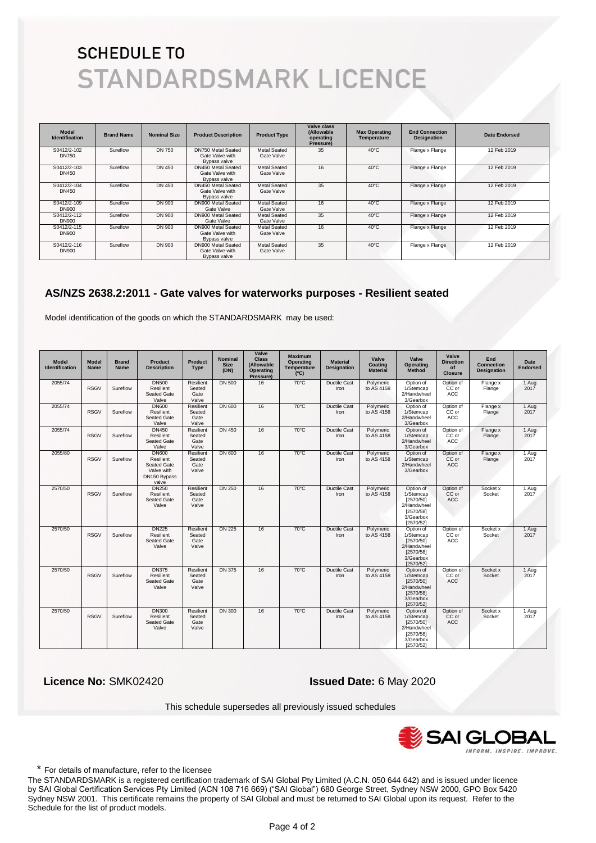| <b>Model</b><br><b>Identification</b> | <b>Brand Name</b> | <b>Nominal Size</b> | <b>Product Description</b>                                            | <b>Product Type</b>               | Valve class<br>(Allowable<br>operating | <b>Max Operating</b><br>Temperature | <b>End Connection</b><br><b>Designation</b> | <b>Date Endorsed</b> |
|---------------------------------------|-------------------|---------------------|-----------------------------------------------------------------------|-----------------------------------|----------------------------------------|-------------------------------------|---------------------------------------------|----------------------|
| S0412/2-102<br><b>DN750</b>           | Sureflow          | <b>DN 750</b>       | DN750 Metal Seated<br>Gate Valve with                                 | <b>Metal Seated</b><br>Gate Valve | Pressure)<br>35                        | $40^{\circ}$ C                      | Flange x Flange                             | 12 Feb 2019          |
| S0412/2-103<br>DN450                  | Sureflow          | DN 450              | Bypass valve<br>DN450 Metal Seated<br>Gate Valve with<br>Bypass valve | <b>Metal Seated</b><br>Gate Valve | 16                                     | $40^{\circ}$ C                      | Flange x Flange                             | 12 Feb 2019          |
| S0412/2-104<br>DN450                  | Sureflow          | <b>DN 450</b>       | DN450 Metal Seated<br>Gate Valve with<br>Bypass valve                 | <b>Metal Seated</b><br>Gate Valve | 35                                     | $40^{\circ}$ C                      | Flange x Flange                             | 12 Feb 2019          |
| S0412/2-109<br><b>DN900</b>           | Sureflow          | DN 900              | DN900 Metal Seated<br>Gate Valve                                      | <b>Metal Seated</b><br>Gate Valve | 16                                     | $40^{\circ}$ C                      | Flange x Flange                             | 12 Feb 2019          |
| S0412/2-112<br><b>DN900</b>           | Sureflow          | DN 900              | DN900 Metal Seated<br>Gate Valve                                      | <b>Metal Seated</b><br>Gate Valve | 35                                     | $40^{\circ}$ C                      | Flange x Flange                             | 12 Feb 2019          |
| S0412/2-115<br><b>DN900</b>           | Sureflow          | DN 900              | DN900 Metal Seated<br>Gate Valve with<br>Bypass valve                 | <b>Metal Seated</b><br>Gate Valve | 16                                     | $40^{\circ}$ C                      | Flange x Flange                             | 12 Feb 2019          |
| S0412/2-116<br><b>DN900</b>           | Sureflow          | DN 900              | DN900 Metal Seated<br>Gate Valve with<br>Bypass valve                 | <b>Metal Seated</b><br>Gate Valve | 35                                     | $40^{\circ}$ C                      | Flange x Flange                             | 12 Feb 2019          |

#### **AS/NZS 2638.2:2011 - Gate valves for waterworks purposes - Resilient seated**

Model identification of the goods on which the STANDARDSMARK may be used:

| <b>Model</b><br><b>Identification</b> | <b>Model</b><br><b>Name</b> | <b>Brand</b><br><b>Name</b> | <b>Product</b><br><b>Description</b>                                            | <b>Product</b><br><b>Type</b>               | <b>Nominal</b><br><b>Size</b><br>(DN) | Valve<br><b>Class</b><br>(Allowable<br><b>Operating</b><br>Pressure) | <b>Maximum</b><br><b>Operating</b><br>Temperature<br>(C) | <b>Material</b><br><b>Designation</b> | Valve<br>Coating<br><b>Material</b> | Valve<br><b>Operating</b><br><b>Method</b>                                                | Valve<br><b>Direction</b><br>of<br><b>Closure</b> | End<br><b>Connection</b><br><b>Designation</b> | Date<br><b>Endorsed</b> |
|---------------------------------------|-----------------------------|-----------------------------|---------------------------------------------------------------------------------|---------------------------------------------|---------------------------------------|----------------------------------------------------------------------|----------------------------------------------------------|---------------------------------------|-------------------------------------|-------------------------------------------------------------------------------------------|---------------------------------------------------|------------------------------------------------|-------------------------|
| 2055/74                               | <b>RSGV</b>                 | Sureflow                    | <b>DN500</b><br>Resilient<br>Seated Gate<br>Valve                               | Resilient<br>Seated<br>Gate<br>Valve        | <b>DN 500</b>                         | 16                                                                   | $70^{\circ}$ C                                           | Ductile Cast<br>Iron                  | Polymeric<br>to AS 4158             | Option of<br>1/Stemcap<br>2/Handwheel<br>3/Gearbox                                        | Option of<br>CC or<br><b>ACC</b>                  | Flange x<br>Flange                             | 1 Aug<br>2017           |
| 2055/74                               | <b>RSGV</b>                 | Sureflow                    | <b>DN600</b><br>Resilient<br>Seated Gate<br>Valve                               | Resilient<br>Seated<br>Gate<br>Valve        | DN 600                                | 16                                                                   | $70^{\circ}$ C                                           | <b>Ductile Cast</b><br>Iron           | Polymeric<br>to AS 4158             | Option of<br>1/Stemcap<br>2/Handwheel<br>3/Gearbox                                        | Option of<br>CC or<br><b>ACC</b>                  | Flange x<br>Flange                             | 1 Aug<br>2017           |
| 2055/74                               | <b>RSGV</b>                 | Sureflow                    | <b>DN450</b><br>Resilient<br>Seated Gate<br>Valve                               | Resilient<br>Seated<br>Gate<br>Valve        | <b>DN 450</b>                         | 16                                                                   | $70^{\circ}$ C                                           | Ductile Cast<br>Iron                  | Polymeric<br>to AS 4158             | Option of<br>1/Stemcap<br>2/Handwheel<br>3/Gearbox                                        | Option of<br>CC or<br><b>ACC</b>                  | Flange x<br>Flange                             | 1 Aug<br>2017           |
| 2055/80                               | <b>RSGV</b>                 | Sureflow                    | <b>DN600</b><br>Resilient<br>Seated Gate<br>Valve with<br>DN150 Bypass<br>valve | Resilient<br>Seated<br>Gate<br>Valve        | DN 600                                | 16                                                                   | $70^{\circ}$ C                                           | <b>Ductile Cast</b><br>Iron           | Polymeric<br>to AS 4158             | Option of<br>1/Stemcap<br>2/Handwheel<br>3/Gearbox                                        | Option of<br>CC or<br>ACC                         | Flange x<br>Flange                             | 1 Aug<br>2017           |
| 2570/50                               | <b>RSGV</b>                 | Sureflow                    | <b>DN250</b><br>Resilient<br>Seated Gate<br>Valve                               | <b>Resilient</b><br>Seated<br>Gate<br>Valve | <b>DN 250</b>                         | 16                                                                   | $70^{\circ}$ C                                           | <b>Ductile Cast</b><br>Iron           | Polymeric<br>to AS 4158             | Option of<br>1/Stemcap<br>[2570/50]<br>2/Handwheel<br>[2570/58]<br>3/Gearbox<br>[2570/52] | Option of<br>CC or<br><b>ACC</b>                  | Socket x<br>Socket                             | 1 Aug<br>2017           |
| 2570/50                               | <b>RSGV</b>                 | Sureflow                    | <b>DN225</b><br>Resilient<br>Seated Gate<br>Valve                               | Resilient<br>Seated<br>Gate<br>Valve        | <b>DN 225</b>                         | 16                                                                   | $70^{\circ}$ C                                           | <b>Ductile Cast</b><br>Iron           | Polymeric<br>to AS 4158             | Option of<br>1/Stemcap<br>[2570/50]<br>2/Handwheel<br>[2570/58]<br>3/Gearbox<br>[2570/52] | Option of<br>CC or<br>ACC                         | Socket x<br>Socket                             | 1 Aug<br>2017           |
| 2570/50                               | <b>RSGV</b>                 | Sureflow                    | <b>DN375</b><br><b>Resilient</b><br>Seated Gate<br>Valve                        | Resilient<br>Seated<br>Gate<br>Valve        | <b>DN 375</b>                         | 16                                                                   | $70^{\circ}$ C                                           | <b>Ductile Cast</b><br>Iron           | Polymeric<br>to AS 4158             | Option of<br>1/Stemcap<br>[2570/50]<br>2/Handwheel<br>[2570/58]<br>3/Gearbox<br>[2570/52] | Option of<br>CC or<br><b>ACC</b>                  | Socket x<br>Socket                             | 1 Aug<br>2017           |
| 2570/50                               | <b>RSGV</b>                 | Sureflow                    | <b>DN300</b><br>Resilient<br>Seated Gate<br>Valve                               | Resilient<br>Seated<br>Gate<br>Valve        | <b>DN 300</b>                         | 16                                                                   | $70^{\circ}$ C                                           | Ductile Cast<br>Iron                  | Polymeric<br>to AS 4158             | Option of<br>1/Stemcap<br>[2570/50]<br>2/Handwheel<br>[2570/58]<br>3/Gearbox<br>[2570/52] | Option of<br>CC or<br><b>ACC</b>                  | Socket x<br>Socket                             | 1 Aug<br>2017           |

 **Licence No:** SMK02420 **Issued Date:** 6 May 2020

This schedule supersedes all previously issued schedules



\* For details of manufacture, refer to the licensee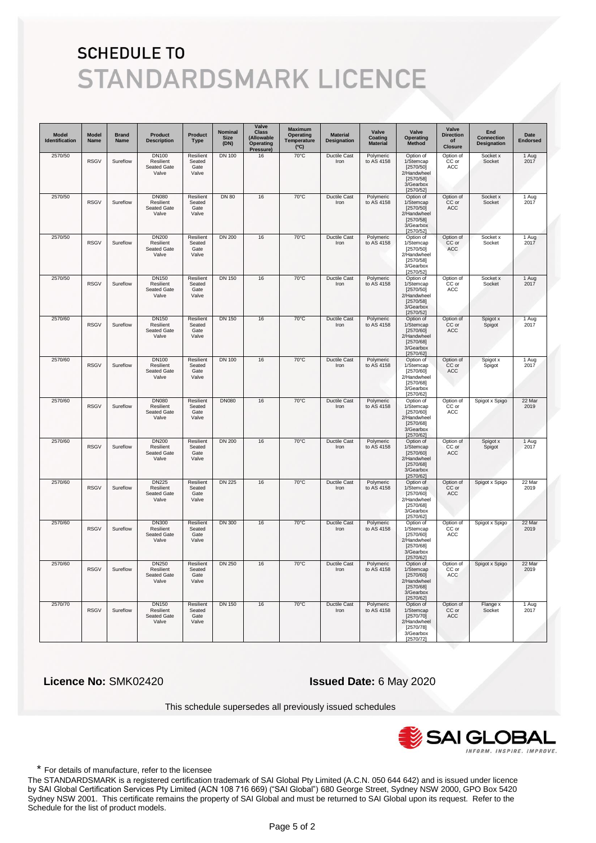| Model<br>Identification | <b>Model</b><br>Name | <b>Brand</b><br>Name | <b>Product</b><br><b>Description</b>                     | Product<br><b>Type</b>               | Nominal<br><b>Size</b><br>(DN) | Valve<br><b>Class</b><br>(Allowable<br>Operating<br>Pressure | <b>Maximum</b><br><b>Operating</b><br>Temperature<br>(C) | <b>Material</b><br>Designation | Valve<br>Coating<br><b>Material</b> | Valve<br>Operating<br>Method                                                              | Valve<br><b>Direction</b><br>of<br><b>Closure</b> | End<br><b>Connection</b><br><b>Designation</b> | Date<br><b>Endorsed</b> |
|-------------------------|----------------------|----------------------|----------------------------------------------------------|--------------------------------------|--------------------------------|--------------------------------------------------------------|----------------------------------------------------------|--------------------------------|-------------------------------------|-------------------------------------------------------------------------------------------|---------------------------------------------------|------------------------------------------------|-------------------------|
| 2570/50                 | <b>RSGV</b>          | Sureflow             | <b>DN100</b><br>Resilient<br>Seated Gate<br>Valve        | Resilient<br>Seated<br>Gate<br>Valve | <b>DN 100</b>                  | 16                                                           | $70^{\circ}$ C                                           | <b>Ductile Cast</b><br>Iron    | Polymeric<br>to AS 4158             | Option of<br>1/Stemcap<br>[2570/50]<br>2/Handwheel<br>[2570/58]<br>3/Gearbox<br>[2570/52] | Option of<br>CC or<br>ACC                         | Socket x<br>Socket                             | 1 Aug<br>2017           |
| 2570/50                 | <b>RSGV</b>          | Sureflow             | <b>DN080</b><br>Resilient<br>Seated Gate<br>Valve        | Resilient<br>Seated<br>Gate<br>Valve | <b>DN 80</b>                   | 16                                                           | 70°C                                                     | Ductile Cast<br>Iron           | Polymeric<br>to AS 4158             | Option of<br>1/Stemcap<br>[2570/50]<br>2/Handwheel<br>[2570/58]<br>3/Gearbox<br>[2570/52] | Option of<br>CC or<br>ACC                         | Socket x<br>Socket                             | 1 Aug<br>2017           |
| 2570/50                 | <b>RSGV</b>          | Sureflow             | <b>DN200</b><br>Resilient<br>Seated Gate<br>Valve        | Resilient<br>Seated<br>Gate<br>Valve | <b>DN 200</b>                  | 16                                                           | $70^{\circ}$ C                                           | <b>Ductile Cast</b><br>Iron    | Polymeric<br>to AS 4158             | Option of<br>1/Stemcap<br>[2570/50]<br>2/Handwheel<br>[2570/58]<br>3/Gearbox<br>[2570/52] | Option of<br>CC or<br>ACC                         | Socket x<br>Socket                             | 1 Aug<br>2017           |
| 2570/50                 | <b>RSGV</b>          | Sureflow             | <b>DN150</b><br>Resilient<br>Seated Gate<br>Valve        | Resilient<br>Seated<br>Gate<br>Valve | <b>DN 150</b>                  | 16                                                           | $70^{\circ}$ C                                           | <b>Ductile Cast</b><br>Iron    | Polymeric<br>to AS 4158             | Option of<br>1/Stemcap<br>[2570/50]<br>2/Handwheel<br>[2570/58]<br>3/Gearbox<br>[2570/52] | Option of<br>CC or<br>ACC                         | Socket x<br>Socket                             | 1 Aug<br>2017           |
| 2570/60                 | <b>RSGV</b>          | Sureflow             | <b>DN150</b><br>Resilient<br>Seated Gate<br>Valve        | Resilient<br>Seated<br>Gate<br>Valve | <b>DN 150</b>                  | 16                                                           | $70^{\circ}$ C                                           | <b>Ductile Cast</b><br>Iron    | Polymeric<br>to AS 4158             | Option of<br>1/Stemcap<br>[2570/60]<br>2/Handwheel<br>[2570/68]<br>3/Gearbox<br>[2570/62] | Option of<br>CC or<br>ACC                         | Spigot x<br>Spigot                             | 1 Aug<br>2017           |
| 2570/60                 | <b>RSGV</b>          | Sureflow             | <b>DN100</b><br>Resilient<br>Seated Gate<br>Valve        | Resilient<br>Seated<br>Gate<br>Valve | <b>DN 100</b>                  | 16                                                           | $70^{\circ}$ C                                           | <b>Ductile Cast</b><br>Iron    | Polymeric<br>to AS 4158             | Option of<br>1/Stemcap<br>[2570/60]<br>2/Handwheel<br>[2570/68]<br>3/Gearbox<br>[2570/62] | Option of<br>CC or<br>ACC                         | Spigot x<br>Spigot                             | 1 Aug<br>2017           |
| 2570/60                 | <b>RSGV</b>          | Sureflow             | <b>DN080</b><br>Resilient<br>Seated Gate<br>Valve        | Resilient<br>Seated<br>Gate<br>Valve | <b>DN080</b>                   | 16                                                           | $70^{\circ}$ C                                           | <b>Ductile Cast</b><br>Iron    | Polymeric<br>to AS 4158             | Option of<br>1/Stemcap<br>[2570/60]<br>2/Handwheel<br>[2570/68]<br>3/Gearbox<br>[2570/62] | Option of<br>CC or<br>ACC                         | Spigot x Spigo                                 | 22 Mar<br>2019          |
| 2570/60                 | <b>RSGV</b>          | Sureflow             | <b>DN200</b><br>Resilient<br><b>Seated Gate</b><br>Valve | Resilient<br>Seated<br>Gate<br>Valve | <b>DN 200</b>                  | 16                                                           | $70^{\circ}$ C                                           | <b>Ductile Cast</b><br>Iron    | Polymeric<br>to AS 4158             | Option of<br>1/Stemcap<br>[2570/60]<br>2/Handwheel<br>[2570/68]<br>3/Gearbox<br>[2570/62] | Option of<br>CC or<br>ACC                         | Spigot x<br>Spigot                             | 1 Aug<br>2017           |
| 2570/60                 | <b>RSGV</b>          | Sureflow             | <b>DN225</b><br>Resilient<br>Seated Gate<br>Valve        | Resilient<br>Seated<br>Gate<br>Valve | <b>DN 225</b>                  | 16                                                           | $70^{\circ}$ C                                           | <b>Ductile Cast</b><br>Iron    | Polymeric<br>to AS 4158             | Option of<br>1/Stemcap<br>[2570/60]<br>2/Handwheel<br>[2570/68]<br>3/Gearbox<br>[2570/62] | Option of<br>CC or<br>ACC                         | Spigot x Spigo                                 | 22 Mar<br>2019          |
| 2570/60                 | <b>RSGV</b>          | Sureflow             | <b>DN300</b><br>Resilient<br><b>Seated Gate</b><br>Valve | Resilient<br>Seated<br>Gate<br>Valve | <b>DN 300</b>                  | 16                                                           | $70^{\circ}$ C                                           | <b>Ductile Cast</b><br>Iron    | Polymeric<br>to AS 4158             | Option of<br>1/Stemcap<br>[2570/60]<br>2/Handwheel<br>[2570/68]<br>3/Gearbox<br>[2570/62] | Option of<br>CC or<br>ACC                         | Spigot x Spigo                                 | 22 Mar<br>2019          |
| 2570/60                 | <b>RSGV</b>          | Sureflow             | <b>DN250</b><br>Resilient<br>Seated Gate<br>Valve        | Resilient<br>Seated<br>Gate<br>Valve | <b>DN 250</b>                  | 16                                                           | $70^{\circ}$ C                                           | <b>Ductile Cast</b><br>Iron    | Polymeric<br>to AS 4158             | Option of<br>1/Stemcap<br>[2570/60]<br>2/Handwheel<br>[2570/68]<br>3/Gearbox<br>[2570/62] | Option of<br>CC or<br>ACC                         | Spigot x Spigo                                 | 22 Mar<br>2019          |
| 2570/70                 | <b>RSGV</b>          | Sureflow             | <b>DN150</b><br>Resilient<br>Seated Gate<br>Valve        | Resilient<br>Seated<br>Gate<br>Valve | <b>DN 150</b>                  | 16                                                           | $70^{\circ}$ C                                           | <b>Ductile Cast</b><br>Iron    | Polymeric<br>to AS 4158             | Option of<br>1/Stemcap<br>[2570/70]<br>2/Handwheel<br>[2570/78]<br>3/Gearbox<br>[2570/72] | Option of<br>CC or<br>ACC                         | Flange x<br>Socket                             | 1 Aug<br>2017           |

 **Licence No:** SMK02420 **Issued Date:** 6 May 2020

This schedule supersedes all previously issued schedules



\* For details of manufacture, refer to the licensee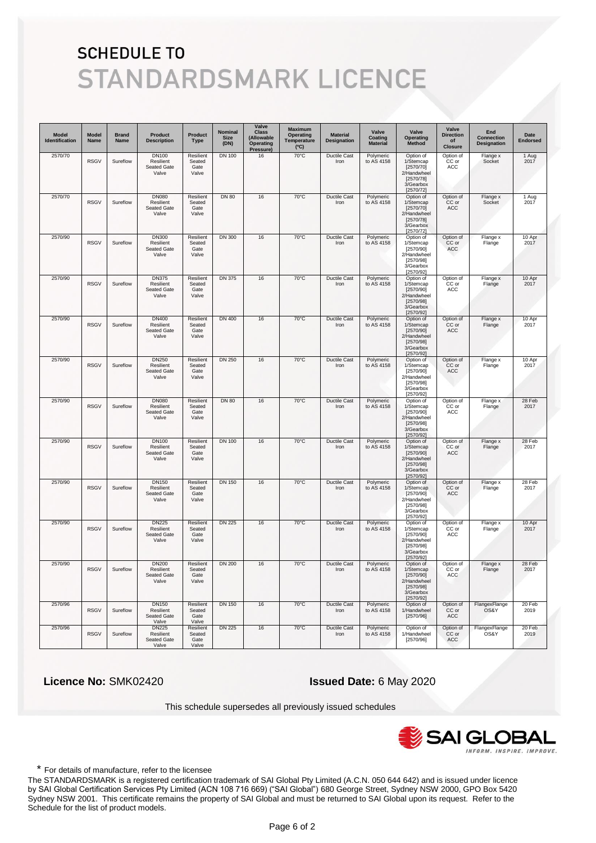| <b>Model</b><br>Identification | <b>Model</b><br>Name | <b>Brand</b><br>Name | <b>Product</b><br><b>Description</b>                     | <b>Product</b><br><b>Type</b>        | Nominal<br>Size<br>(DN) | Valve<br><b>Class</b><br>(Allowable<br>Operating<br>Pressure) | <b>Maximum</b><br><b>Operating</b><br>Temperature<br>(C) | <b>Material</b><br>Designation | Valve<br>Coating<br><b>Material</b> | Valve<br><b>Operating</b><br>Method                                                       | Valve<br><b>Direction</b><br>οf<br><b>Closure</b> | End<br><b>Connection</b><br>Designation | Date<br><b>Endorsed</b> |
|--------------------------------|----------------------|----------------------|----------------------------------------------------------|--------------------------------------|-------------------------|---------------------------------------------------------------|----------------------------------------------------------|--------------------------------|-------------------------------------|-------------------------------------------------------------------------------------------|---------------------------------------------------|-----------------------------------------|-------------------------|
| 2570/70                        | <b>RSGV</b>          | Sureflow             | <b>DN100</b><br>Resilient<br><b>Seated Gate</b><br>Valve | Resilient<br>Seated<br>Gate<br>Valve | <b>DN 100</b>           | 16                                                            | 70°C                                                     | <b>Ductile Cast</b><br>Iron    | Polymeric<br>to AS 4158             | Option of<br>1/Stemcap<br>[2570/70]<br>2/Handwheel<br>[2570/78]<br>3/Gearbox<br>[2570/72] | Option of<br>CC or<br>ACC                         | Flange x<br>Socket                      | 1 Aug<br>2017           |
| 2570/70                        | <b>RSGV</b>          | Sureflow             | <b>DN080</b><br>Resilient<br>Seated Gate<br>Valve        | Resilient<br>Seated<br>Gate<br>Valve | <b>DN 80</b>            | 16                                                            | 70°C                                                     | Ductile Cast<br>Iron           | Polymeric<br>to AS 4158             | Option of<br>1/Stemcap<br>[2570/70]<br>2/Handwheel<br>[2570/78]<br>3/Gearbox<br>[2570/72] | Option of<br>CC or<br>ACC                         | Flange x<br>Socket                      | 1 Aug<br>2017           |
| 2570/90                        | <b>RSGV</b>          | Sureflow             | <b>DN300</b><br>Resilient<br>Seated Gate<br>Valve        | Resilient<br>Seated<br>Gate<br>Valve | <b>DN 300</b>           | 16                                                            | $70^{\circ}$ C                                           | <b>Ductile Cast</b><br>Iron    | Polymeric<br>to AS 4158             | Option of<br>1/Stemcap<br>[2570/90]<br>2/Handwheel<br>[2570/98]<br>3/Gearbox<br>[2570/92] | Option of<br>CC or<br>ACC                         | Flange x<br>Flange                      | 10 Apr<br>2017          |
| 2570/90                        | <b>RSGV</b>          | Sureflow             | <b>DN375</b><br>Resilient<br>Seated Gate<br>Valve        | Resilient<br>Seated<br>Gate<br>Valve | DN 375                  | 16                                                            | 70°C                                                     | <b>Ductile Cast</b><br>Iron    | Polymeric<br>to AS 4158             | Option of<br>1/Stemcap<br>[2570/90]<br>2/Handwheel<br>[2570/98]<br>3/Gearbox<br>[2570/92] | Option of<br>CC or<br>ACC                         | Flange x<br>Flange                      | 10 Apr<br>2017          |
| 2570/90                        | <b>RSGV</b>          | Sureflow             | <b>DN400</b><br>Resilient<br>Seated Gate<br>Valve        | Resilient<br>Seated<br>Gate<br>Valve | DN 400                  | 16                                                            | $70^{\circ}$ C                                           | <b>Ductile Cast</b><br>Iron    | Polymeric<br>to AS 4158             | Option of<br>1/Stemcap<br>[2570/90]<br>2/Handwheel<br>[2570/98]<br>3/Gearbox<br>[2570/92] | Option of<br>CC or<br>ACC                         | Flange x<br>Flange                      | 10 Apr<br>2017          |
| 2570/90                        | <b>RSGV</b>          | Sureflow             | <b>DN250</b><br>Resilient<br><b>Seated Gate</b><br>Valve | Resilient<br>Seated<br>Gate<br>Valve | <b>DN 250</b>           | 16                                                            | $70^{\circ}$ C                                           | <b>Ductile Cast</b><br>Iron    | Polymeric<br>to AS 4158             | Option of<br>1/Stemcap<br>[2570/90]<br>2/Handwheel<br>[2570/98]<br>3/Gearbox<br>[2570/92] | Option of<br>CC or<br>ACC                         | Flange x<br>Flange                      | 10 Apr<br>2017          |
| 2570/90                        | <b>RSGV</b>          | Sureflow             | <b>DN080</b><br>Resilient<br>Seated Gate<br>Valve        | Resilient<br>Seated<br>Gate<br>Valve | <b>DN 80</b>            | 16                                                            | $70^{\circ}$ C                                           | <b>Ductile Cast</b><br>Iron    | Polymeric<br>to AS 4158             | Option of<br>1/Stemcap<br>[2570/90]<br>2/Handwheel<br>[2570/98]<br>3/Gearbox<br>[2570/92] | Option of<br>CC or<br>ACC                         | Flange x<br>Flange                      | 28 Feb<br>2017          |
| 2570/90                        | <b>RSGV</b>          | Sureflow             | <b>DN100</b><br>Resilient<br><b>Seated Gate</b><br>Valve | Resilient<br>Seated<br>Gate<br>Valve | <b>DN 100</b>           | 16                                                            | $70^{\circ}$ C                                           | <b>Ductile Cast</b><br>Iron    | Polymeric<br>to AS 4158             | Option of<br>1/Stemcap<br>[2570/90]<br>2/Handwheel<br>[2570/98]<br>3/Gearbox<br>[2570/92] | Option of<br>CC or<br>ACC                         | Flange x<br>Flange                      | 28 Feb<br>2017          |
| 2570/90                        | <b>RSGV</b>          | Sureflow             | DN150<br>Resilient<br>Seated Gate<br>Valve               | Resilient<br>Seated<br>Gate<br>Valve | DN 150                  | 16                                                            | 70°C                                                     | <b>Ductile Cast</b><br>Iron    | Polymeric<br>to AS 4158             | Option of<br>1/Stemcap<br>[2570/90]<br>2/Handwheel<br>[2570/98]<br>3/Gearbox<br>[2570/92] | Option of<br>CC or<br>ACC                         | Flange x<br>Flange                      | 28 Feb<br>2017          |
| 2570/90                        | <b>RSGV</b>          | Sureflow             | <b>DN225</b><br>Resilient<br>Seated Gate<br>Valve        | Resilient<br>Seated<br>Gate<br>Valve | <b>DN 225</b>           | 16                                                            | 70°C                                                     | <b>Ductile Cast</b><br>Iron    | Polymeric<br>to AS 4158             | Option of<br>1/Stemcap<br>[2570/90]<br>2/Handwheel<br>[2570/98]<br>3/Gearbox<br>[2570/92] | Option of<br>CC or<br>ACC                         | Flange x<br>Flange                      | 10 Apr<br>2017          |
| 2570/90                        | <b>RSGV</b>          | Sureflow             | <b>DN200</b><br>Resilient<br>Seated Gate<br>Valve        | Resilient<br>Seated<br>Gate<br>Valve | <b>DN 200</b>           | 16                                                            | $70^{\circ}$ C                                           | Ductile Cast<br>Iron           | Polymeric<br>to AS 4158             | Option of<br>1/Stemcap<br>[2570/90]<br>2/Handwheel<br>[2570/98]<br>3/Gearbox<br>[2570/92] | Option of<br>CC or<br>ACC                         | Flange x<br>Flange                      | 28 Feb<br>2017          |
| 2570/96                        | <b>RSGV</b>          | Sureflow             | <b>DN150</b><br>Resilient<br>Seated Gate<br>Valve        | Resilient<br>Seated<br>Gate<br>Valve | <b>DN 150</b>           | 16                                                            | $70^{\circ}$ C                                           | <b>Ductile Cast</b><br>Iron    | Polymeric<br>to AS 4158             | Option of<br>1/Handwheel<br>[2570/96]                                                     | Option of<br>CC or<br>ACC                         | FlangexFlange<br>OS&Y                   | 20 Feb<br>2019          |
| 2570/96                        | <b>RSGV</b>          | Sureflow             | <b>DN225</b><br>Resilient<br>Seated Gate<br>Valve        | Resilient<br>Seated<br>Gate<br>Valve | <b>DN 225</b>           | 16                                                            | 70°C                                                     | <b>Ductile Cast</b><br>Iron    | Polymeric<br>to AS 4158             | Option of<br>1/Handwheel<br>[2570/96]                                                     | Option of<br>CC or<br>ACC                         | FlangexFlange<br>OS&Y                   | 20 Feb<br>2019          |

 **Licence No:** SMK02420 **Issued Date:** 6 May 2020

This schedule supersedes all previously issued schedules



\* For details of manufacture, refer to the licensee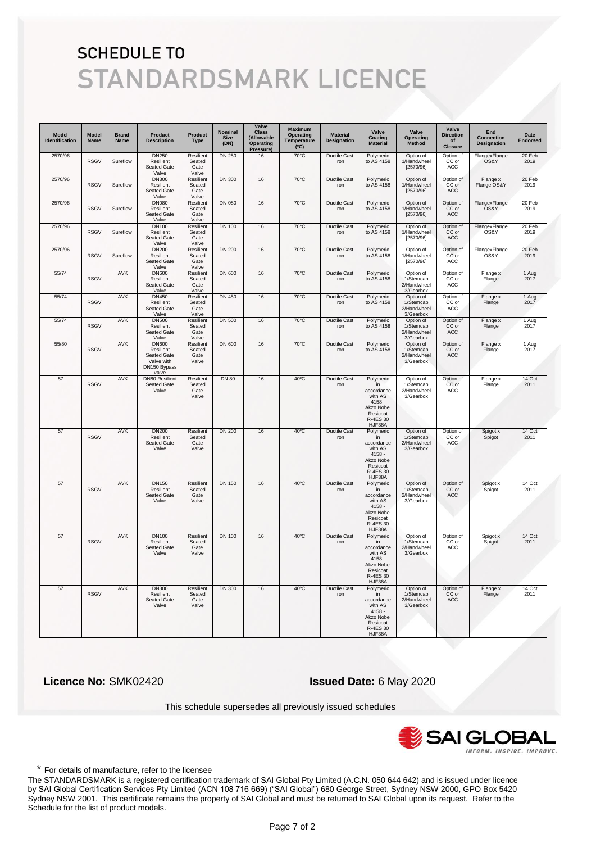| <b>Model</b><br>Identification | <b>Model</b><br>Name | <b>Brand</b><br>Name | <b>Product</b><br><b>Description</b>                                            | Product<br><b>Type</b>               | Nominal<br><b>Size</b><br>(DN) | Valve<br><b>Class</b><br>(Allowable<br>Operating<br>Pressure) | <b>Maximum</b><br>Operating<br>Temperature<br>(C) | <b>Material</b><br>Designation | Valve<br>Coating<br><b>Material</b>                                                                  | Valve<br>Operating<br>Method                       | Valve<br><b>Direction</b><br>of<br><b>Closure</b> | End<br><b>Connection</b><br>Designation | Date<br><b>Endorsed</b> |
|--------------------------------|----------------------|----------------------|---------------------------------------------------------------------------------|--------------------------------------|--------------------------------|---------------------------------------------------------------|---------------------------------------------------|--------------------------------|------------------------------------------------------------------------------------------------------|----------------------------------------------------|---------------------------------------------------|-----------------------------------------|-------------------------|
| 2570/96                        | <b>RSGV</b>          | Sureflow             | <b>DN250</b><br>Resilient<br>Seated Gate<br>Valve                               | Resilient<br>Seated<br>Gate<br>Valve | <b>DN 250</b>                  | 16                                                            | $70^{\circ}$ C                                    | Ductile Cast<br>Iron           | Polymeric<br>to AS 4158                                                                              | Option of<br>1/Handwheel<br>[2570/96]              | Option of<br>CC or<br>ACC                         | FlangexFlange<br>OS&Y                   | 20 Feb<br>2019          |
| 2570/96                        | <b>RSGV</b>          | Sureflow             | <b>DN300</b><br>Resilient<br>Seated Gate<br>Valve                               | Resilient<br>Seated<br>Gate<br>Valve | <b>DN 300</b>                  | 16                                                            | $70^{\circ}$ C                                    | <b>Ductile Cast</b><br>Iron    | Polymeric<br>to AS 4158                                                                              | Option of<br>1/Handwheel<br>[2570/96]              | Option of<br>CC or<br>ACC                         | Flange x<br>Flange OS&Y                 | 20 Feb<br>2019          |
| 2570/96                        | <b>RSGV</b>          | Sureflow             | <b>DN080</b><br>Resilient<br>Seated Gate<br>Valve                               | Resilient<br>Seated<br>Gate<br>Valve | <b>DN 080</b>                  | 16                                                            | 70°C                                              | <b>Ductile Cast</b><br>Iron    | Polymeric<br>to AS 4158                                                                              | Option of<br>1/Handwheel<br>[2570/96]              | Option of<br>CC or<br>ACC                         | FlangexFlange<br>OS&Y                   | 20 Feb<br>2019          |
| 2570/96                        | <b>RSGV</b>          | Sureflow             | <b>DN100</b><br>Resilient<br>Seated Gate<br>Valve                               | Resilient<br>Seated<br>Gate<br>Valve | <b>DN 100</b>                  | 16                                                            | 70°C                                              | Ductile Cast<br>Iron           | Polymeric<br>to AS 4158                                                                              | Option of<br>1/Handwheel<br>[2570/96]              | Option of<br>CC or<br>ACC                         | FlangexFlange<br>OS&Y                   | 20 Feb<br>2019          |
| 2570/96                        | <b>RSGV</b>          | Sureflow             | <b>DN200</b><br>Resilient<br>Seated Gate<br>Valve                               | Resilient<br>Seated<br>Gate<br>Valve | <b>DN 200</b>                  | 16                                                            | $70^{\circ}$ C                                    | <b>Ductile Cast</b><br>Iron    | Polymeric<br>to AS 4158                                                                              | Option of<br>1/Handwheel<br>[2570/96]              | Option of<br>CC or<br>ACC                         | FlangexFlange<br>OS&Y                   | 20 Feb<br>2019          |
| 55/74                          | <b>RSGV</b>          | <b>AVK</b>           | <b>DN600</b><br>Resilient<br>Seated Gate<br>Valve                               | Resilient<br>Seated<br>Gate<br>Valve | <b>DN 600</b>                  | 16                                                            | $70^{\circ}$ C                                    | <b>Ductile Cast</b><br>Iron    | Polymeric<br>to AS 4158                                                                              | Option of<br>1/Stemcap<br>2/Handwheel<br>3/Gearbox | Option of<br>CC or<br>ACC                         | Flange x<br>Flange                      | 1 Aug<br>2017           |
| 55/74                          | <b>RSGV</b>          | <b>AVK</b>           | <b>DN450</b><br>Resilient<br>Seated Gate<br>Valve                               | Resilient<br>Seated<br>Gate<br>Valve | <b>DN 450</b>                  | 16                                                            | $70^{\circ}$ C                                    | <b>Ductile Cast</b><br>Iron    | Polymeric<br>to AS 4158                                                                              | Option of<br>1/Stemcap<br>2/Handwheel<br>3/Gearbox | Option of<br>CC or<br>ACC                         | Flange x<br>Flange                      | 1 Aug<br>2017           |
| 55/74                          | <b>RSGV</b>          | <b>AVK</b>           | <b>DN500</b><br>Resilient<br>Seated Gate<br>Valve                               | Resilient<br>Seated<br>Gate<br>Valve | <b>DN 500</b>                  | 16                                                            | $70^{\circ}$ C                                    | <b>Ductile Cast</b><br>Iron    | Polymeric<br>to AS 4158                                                                              | Option of<br>1/Stemcap<br>2/Handwheel<br>3/Gearbox | Option of<br>CC or<br>ACC                         | Flange x<br>Flange                      | 1 Aug<br>2017           |
| 55/80                          | <b>RSGV</b>          | <b>AVK</b>           | <b>DN600</b><br>Resilient<br>Seated Gate<br>Valve with<br>DN150 Bypass<br>valve | Resilient<br>Seated<br>Gate<br>Valve | <b>DN 600</b>                  | 16                                                            | $70^{\circ}$ C                                    | <b>Ductile Cast</b><br>Iron    | Polymeric<br>to AS 4158                                                                              | Option of<br>1/Stemcap<br>2/Handwheel<br>3/Gearbox | Option of<br>CC or<br>ACC                         | Flange x<br>Flange                      | 1 Aug<br>2017           |
| 57                             | <b>RSGV</b>          | AVK                  | <b>DN80 Resilient</b><br>Seated Gate<br>Valve                                   | Resilient<br>Seated<br>Gate<br>Valve | <b>DN 80</b>                   | 16                                                            | $40^{\circ}$ C                                    | Ductile Cast<br>Iron           | Polymeric<br>in<br>accordance<br>with AS<br>$4158 -$<br>Akzo Nobel<br>Resicoat<br>R-4ES 30<br>HJF38A | Option of<br>1/Stemcap<br>2/Handwheel<br>3/Gearbox | Option of<br>CC or<br>ACC                         | Flange x<br>Flange                      | 14 Oct<br>2011          |
| 57                             | <b>RSGV</b>          | <b>AVK</b>           | <b>DN200</b><br>Resilient<br>Seated Gate<br>Valve                               | Resilient<br>Seated<br>Gate<br>Valve | <b>DN 200</b>                  | 16                                                            | $40^{\circ}$ C                                    | <b>Ductile Cast</b><br>Iron    | Polymeric<br>in<br>accordance<br>with AS<br>$4158 -$<br>Akzo Nobel<br>Resicoat<br>R-4ES 30<br>HJF38A | Option of<br>1/Stemcap<br>2/Handwheel<br>3/Gearbox | Option of<br>CC or<br>ACC                         | Spigot x<br>Spigot                      | 14 Oct<br>2011          |
| 57                             | <b>RSGV</b>          | <b>AVK</b>           | <b>DN150</b><br>Resilient<br>Seated Gate<br>Valve                               | Resilient<br>Seated<br>Gate<br>Valve | <b>DN 150</b>                  | 16                                                            | $40^{\circ}$ C                                    | Ductile Cast<br>Iron           | Polymeric<br>in<br>accordance<br>with AS<br>$4158 -$<br>Akzo Nobel<br>Resicoat<br>R-4ES 30<br>HJF38A | Option of<br>1/Stemcap<br>2/Handwheel<br>3/Gearbox | Option of<br>CC or<br>ACC                         | Spigot x<br>Spigot                      | 14 Oct<br>2011          |
| 57                             | <b>RSGV</b>          | <b>AVK</b>           | <b>DN100</b><br>Resilient<br><b>Seated Gate</b><br>Valve                        | Resilient<br>Seated<br>Gate<br>Valve | <b>DN 100</b>                  | 16                                                            | $40^{\circ}$ C                                    | <b>Ductile Cast</b><br>Iron    | Polymeric<br>in<br>accordance<br>with AS<br>$4158 -$<br>Akzo Nobel<br>Resicoat<br>R-4ES 30<br>HJF38A | Option of<br>1/Stemcap<br>2/Handwheel<br>3/Gearbox | Option of<br>CC or<br>ACC                         | Spigot x<br>Spigot                      | 14 Oct<br>2011          |
| 57                             | <b>RSGV</b>          | <b>AVK</b>           | <b>DN300</b><br>Resilient<br>Seated Gate<br>Valve                               | Resilient<br>Seated<br>Gate<br>Valve | DN 300                         | 16                                                            | $40^{\circ}$ C                                    | <b>Ductile Cast</b><br>Iron    | Polymeric<br>in<br>accordance<br>with AS<br>$4158 -$<br>Akzo Nobel<br>Resicoat<br>R-4ES 30<br>HJF38A | Option of<br>1/Stemcap<br>2/Handwheel<br>3/Gearbox | Option of<br>CC or<br>ACC                         | Flange x<br>Flange                      | 14 Oct<br>2011          |

 **Licence No:** SMK02420 **Issued Date:** 6 May 2020

This schedule supersedes all previously issued schedules



\* For details of manufacture, refer to the licensee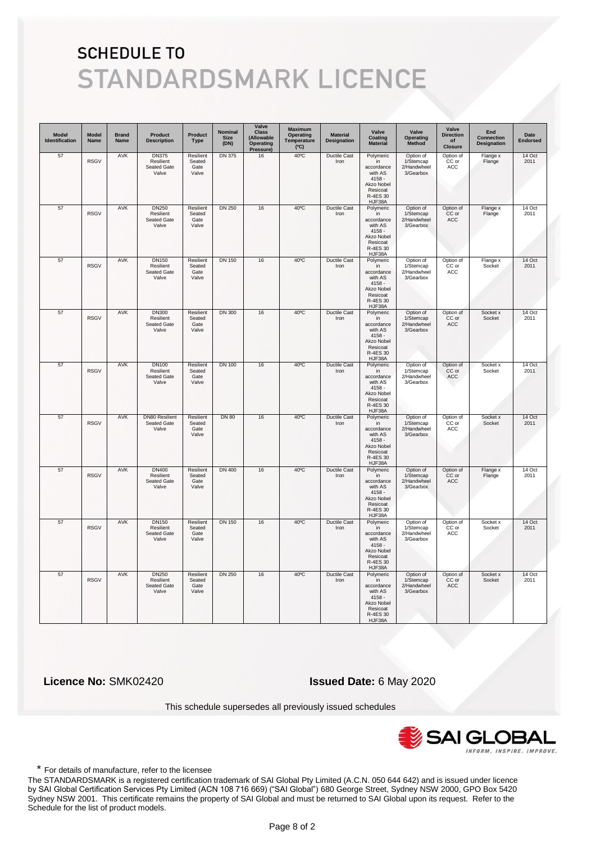| <b>Model</b><br>Identification | <b>Model</b><br>Name | <b>Brand</b><br>Name | Product<br><b>Description</b>                     | Product<br><b>Type</b>                      | Nominal<br><b>Size</b><br>(DN) | Valve<br><b>Class</b><br>(Allowable<br>Operating<br>Pressure) | <b>Maximum</b><br>Operating<br>Temperature<br>(C) | <b>Material</b><br>Designation | Valve<br>Coating<br><b>Material</b>                                                                  | Valve<br>Operating<br>Method                       | Valve<br><b>Direction</b><br>of<br><b>Closure</b> | End<br><b>Connection</b><br>Designation | Date<br><b>Endorsed</b> |
|--------------------------------|----------------------|----------------------|---------------------------------------------------|---------------------------------------------|--------------------------------|---------------------------------------------------------------|---------------------------------------------------|--------------------------------|------------------------------------------------------------------------------------------------------|----------------------------------------------------|---------------------------------------------------|-----------------------------------------|-------------------------|
| 57                             | <b>RSGV</b>          | AVK                  | <b>DN375</b><br>Resilient<br>Seated Gate<br>Valve | Resilient<br>Seated<br>Gate<br>Valve        | <b>DN 375</b>                  | 16                                                            | 40°C                                              | Ductile Cast<br>Iron           | Polymeric<br>in<br>accordance<br>with AS<br>$4158 -$<br>Akzo Nobel<br>Resicoat<br>R-4ES 30<br>HJF38A | Option of<br>1/Stemcap<br>2/Handwheel<br>3/Gearbox | Option of<br>CC or<br>ACC                         | Flange x<br>Flange                      | 14 Oct<br>2011          |
| 57                             | <b>RSGV</b>          | <b>AVK</b>           | <b>DN250</b><br>Resilient<br>Seated Gate<br>Valve | Resilient<br>Seated<br>Gate<br>Valve        | <b>DN 250</b>                  | 16                                                            | 40°C                                              | <b>Ductile Cast</b><br>Iron    | Polymeric<br>in<br>accordance<br>with AS<br>$4158 -$<br>Akzo Nobel<br>Resicoat<br>R-4ES 30<br>HJF38A | Option of<br>1/Stemcap<br>2/Handwheel<br>3/Gearbox | Option of<br>CC or<br>ACC                         | Flange x<br>Flange                      | 14 Oct<br>2011          |
| 57                             | <b>RSGV</b>          | <b>AVK</b>           | <b>DN150</b><br>Resilient<br>Seated Gate<br>Valve | Resilient<br>Seated<br>Gate<br>Valve        | <b>DN 150</b>                  | 16                                                            | $40^{\circ}$ C                                    | <b>Ductile Cast</b><br>Iron    | Polymeric<br>in<br>accordance<br>with AS<br>$4158 -$<br>Akzo Nobel<br>Resicoat<br>R-4ES 30<br>HJF38A | Option of<br>1/Stemcap<br>2/Handwheel<br>3/Gearbox | Option of<br>CC or<br>ACC                         | Flange x<br>Socket                      | 14 Oct<br>2011          |
| 57                             | <b>RSGV</b>          | <b>AVK</b>           | <b>DN300</b><br>Resilient<br>Seated Gate<br>Valve | Resilient<br>Seated<br>Gate<br>Valve        | <b>DN 300</b>                  | 16                                                            | $40^{\circ}$ C                                    | <b>Ductile Cast</b><br>Iron    | Polymeric<br>in<br>accordance<br>with AS<br>$4158 -$<br>Akzo Nobel<br>Resicoat<br>R-4ES 30<br>HJF38A | Option of<br>1/Stemcap<br>2/Handwheel<br>3/Gearbox | Option of<br>CC or<br>ACC                         | Socket x<br>Socket                      | 14 Oct<br>2011          |
| 57                             | <b>RSGV</b>          | AVK                  | DN100<br>Resilient<br>Seated Gate<br>Valve        | Resilient<br>Seated<br>Gate<br>Valve        | <b>DN 100</b>                  | 16                                                            | 40°C                                              | Ductile Cast<br>Iron           | Polymeric<br>in<br>accordance<br>with AS<br>$4158 -$<br>Akzo Nobel<br>Resicoat<br>R-4ES 30<br>HJF38A | Option of<br>1/Stemcap<br>2/Handwheel<br>3/Gearbox | Option of<br>CC or<br>ACC                         | Socket x<br>Socket                      | 14 Oct<br>2011          |
| 57                             | <b>RSGV</b>          | <b>AVK</b>           | <b>DN80 Resilient</b><br>Seated Gate<br>Valve     | Resilient<br>Seated<br>Gate<br>Valve        | <b>DN 80</b>                   | 16                                                            | $40^{\circ}$ C                                    | <b>Ductile Cast</b><br>Iron    | Polymeric<br>in<br>accordance<br>with AS<br>$4158 -$<br>Akzo Nobel<br>Resicoat<br>R-4ES 30<br>HJF38A | Option of<br>1/Stemcap<br>2/Handwheel<br>3/Gearbox | Option of<br>CC or<br>ACC                         | Socket x<br>Socket                      | 14 Oct<br>2011          |
| 57                             | <b>RSGV</b>          | AVK                  | <b>DN400</b><br>Resilient<br>Seated Gate<br>Valve | <b>Resilient</b><br>Seated<br>Gate<br>Valve | <b>DN 400</b>                  | 16                                                            | $40^{\circ}$ C                                    | <b>Ductile Cast</b><br>Iron    | Polymeric<br>in<br>accordance<br>with AS<br>$4158 -$<br>Akzo Nobel<br>Resicoat<br>R-4ES 30<br>HJF38A | Option of<br>1/Stemcap<br>2/Handwheel<br>3/Gearbox | Option of<br>CC or<br>ACC                         | Flange x<br>Flange                      | 14 Oct<br>2011          |
| 57                             | <b>RSGV</b>          | AVK                  | <b>DN150</b><br>Resilient<br>Seated Gate<br>Valve | Resilient<br>Seated<br>Gate<br>Valve        | <b>DN 150</b>                  | 16                                                            | $40^{\circ}$ C                                    | Ductile Cast<br>Iron           | Polymeric<br>in<br>accordance<br>with AS<br>4158 -<br>Akzo Nobel<br>Resicoat<br>R-4ES 30<br>HJF38A   | Option of<br>1/Stemcap<br>2/Handwheel<br>3/Gearbox | Option of<br>CC or<br>ACC                         | Socket x<br>Socket                      | 14 Oct<br>2011          |
| 57                             | <b>RSGV</b>          | <b>AVK</b>           | <b>DN250</b><br>Resilient<br>Seated Gate<br>Valve | Resilient<br>Seated<br>Gate<br>Valve        | <b>DN 250</b>                  | 16                                                            | $40^{\circ}$ C                                    | <b>Ductile Cast</b><br>Iron    | Polymeric<br>in<br>accordance<br>with AS<br>$4158 -$<br>Akzo Nobel<br>Resicoat<br>R-4ES 30<br>HJF38A | Option of<br>1/Stemcap<br>2/Handwheel<br>3/Gearbox | Option of<br>CC or<br>ACC                         | Socket x<br>Socket                      | 14 Oct<br>2011          |

 **Licence No:** SMK02420 **Issued Date:** 6 May 2020

This schedule supersedes all previously issued schedules



\* For details of manufacture, refer to the licensee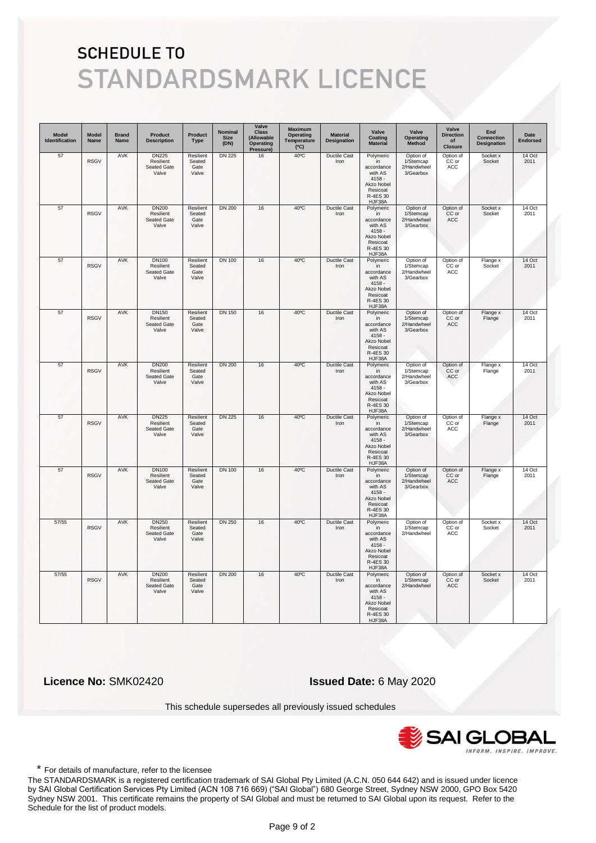| <b>Model</b><br>Identification | <b>Model</b><br>Name | <b>Brand</b><br>Name | <b>Product</b><br><b>Description</b>                     | Product<br><b>Type</b>               | Nominal<br><b>Size</b><br>(DN) | Valve<br><b>Class</b><br>(Allowable<br>Operating<br>Pressure | <b>Maximum</b><br>Operating<br>Temperature<br>(C) | <b>Material</b><br>Designation | Valve<br>Coating<br><b>Material</b>                                                                  | Valve<br><b>Operating</b><br>Method                | Valve<br><b>Direction</b><br>of<br><b>Closure</b> | End<br><b>Connection</b><br><b>Designation</b> | Date<br><b>Endorsed</b> |
|--------------------------------|----------------------|----------------------|----------------------------------------------------------|--------------------------------------|--------------------------------|--------------------------------------------------------------|---------------------------------------------------|--------------------------------|------------------------------------------------------------------------------------------------------|----------------------------------------------------|---------------------------------------------------|------------------------------------------------|-------------------------|
| 57                             | <b>RSGV</b>          | <b>AVK</b>           | <b>DN225</b><br>Resilient<br>Seated Gate<br>Valve        | Resilient<br>Seated<br>Gate<br>Valve | <b>DN 225</b>                  | 16                                                           | 40°C                                              | <b>Ductile Cast</b><br>Iron    | Polymeric<br>in<br>accordance<br>with AS<br>$4158 -$<br>Akzo Nobel<br>Resicoat<br>R-4ES 30<br>HJF38A | Option of<br>1/Stemcap<br>2/Handwheel<br>3/Gearbox | Option of<br>CC or<br>ACC                         | Socket x<br>Socket                             | 14 Oct<br>2011          |
| 57                             | <b>RSGV</b>          | AVK                  | <b>DN200</b><br>Resilient<br>Seated Gate<br>Valve        | Resilient<br>Seated<br>Gate<br>Valve | <b>DN 200</b>                  | 16                                                           | 40°C                                              | Ductile Cast<br>Iron           | Polymeric<br>in<br>accordance<br>with AS<br>$4158 -$<br>Akzo Nobel<br>Resicoat<br>R-4ES 30<br>HJF38A | Option of<br>1/Stemcap<br>2/Handwheel<br>3/Gearbox | Option of<br>CC or<br>ACC                         | Socket x<br>Socket                             | 14 Oct<br>2011          |
| 57                             | <b>RSGV</b>          | AVK                  | <b>DN100</b><br>Resilient<br>Seated Gate<br>Valve        | Resilient<br>Seated<br>Gate<br>Valve | <b>DN 100</b>                  | 16                                                           | $40^{\circ}$ C                                    | <b>Ductile Cast</b><br>Iron    | Polymeric<br>in<br>accordance<br>with AS<br>$4158 -$<br>Akzo Nobel<br>Resicoat<br>R-4ES 30<br>HJF38A | Option of<br>1/Stemcap<br>2/Handwheel<br>3/Gearbox | Option of<br>CC or<br>ACC                         | Flange x<br>Socket                             | 14 Oct<br>2011          |
| 57                             | <b>RSGV</b>          | AVK                  | <b>DN150</b><br>Resilient<br>Seated Gate<br>Valve        | Resilient<br>Seated<br>Gate<br>Valve | <b>DN 150</b>                  | 16                                                           | $40^{\circ}$ C                                    | Ductile Cast<br>Iron           | Polymeric<br>in<br>accordance<br>with AS<br>$4158 -$<br>Akzo Nobel<br>Resicoat<br>R-4ES 30<br>HJF38A | Option of<br>1/Stemcap<br>2/Handwheel<br>3/Gearbox | Option of<br>CC or<br>ACC                         | Flange x<br>Flange                             | 14 Oct<br>2011          |
| 57                             | <b>RSGV</b>          | <b>AVK</b>           | <b>DN200</b><br>Resilient<br><b>Seated Gate</b><br>Valve | Resilient<br>Seated<br>Gate<br>Valve | <b>DN 200</b>                  | 16                                                           | $40^{\circ}$ C                                    | <b>Ductile Cast</b><br>Iron    | Polymeric<br>in<br>accordance<br>with AS<br>$4158 -$<br>Akzo Nobel<br>Resicoat<br>R-4ES 30<br>HJF38A | Option of<br>1/Stemcap<br>2/Handwheel<br>3/Gearbox | Option of<br>CC or<br>ACC                         | Flange x<br>Flange                             | 14 Oct<br>2011          |
| 57                             | <b>RSGV</b>          | <b>AVK</b>           | <b>DN225</b><br>Resilient<br>Seated Gate<br>Valve        | Resilient<br>Seated<br>Gate<br>Valve | <b>DN 225</b>                  | 16                                                           | $40^{\circ}$ C                                    | <b>Ductile Cast</b><br>Iron    | Polymeric<br>in<br>accordance<br>with AS<br>$4158 -$<br>Akzo Nobel<br>Resicoat<br>R-4ES 30<br>HJF38A | Option of<br>1/Stemcap<br>2/Handwheel<br>3/Gearbox | Option of<br>CC or<br>ACC                         | Flange x<br>Flange                             | 14 Oct<br>2011          |
| 57                             | <b>RSGV</b>          | <b>AVK</b>           | <b>DN100</b><br>Resilient<br>Seated Gate<br>Valve        | Resilient<br>Seated<br>Gate<br>Valve | <b>DN 100</b>                  | 16                                                           | $40^{\circ}$ C                                    | <b>Ductile Cast</b><br>Iron    | Polymeric<br>in<br>accordance<br>with AS<br>$4158 -$<br>Akzo Nobel<br>Resicoat<br>R-4ES 30<br>HJF38A | Option of<br>1/Stemcap<br>2/Handwheel<br>3/Gearbox | Option of<br>CC or<br>ACC                         | Flange x<br>Flange                             | 14 Oct<br>2011          |
| 57/55                          | <b>RSGV</b>          | AVK                  | <b>DN250</b><br>Resilient<br>Seated Gate<br>Valve        | Resilient<br>Seated<br>Gate<br>Valve | <b>DN 250</b>                  | 16                                                           | $40^{\circ}$ C                                    | Ductile Cast<br>Iron           | Polymeric<br>in<br>accordance<br>with AS<br>$4158 -$<br>Akzo Nobel<br>Resicoat<br>R-4ES 30<br>HJF38A | Option of<br>1/Stemcap<br>2/Handwheel              | Option of<br>CC or<br>ACC                         | Socket x<br>Socket                             | 14 Oct<br>2011          |
| 57/55                          | <b>RSGV</b>          | <b>AVK</b>           | <b>DN200</b><br>Resilient<br>Seated Gate<br>Valve        | Resilient<br>Seated<br>Gate<br>Valve | <b>DN 200</b>                  | 16                                                           | $40^{\circ}$ C                                    | <b>Ductile Cast</b><br>Iron    | Polymeric<br>in<br>accordance<br>with AS<br>$4158 -$<br>Akzo Nobel<br>Resicoat<br>R-4ES 30<br>HJF38A | Option of<br>1/Stemcap<br>2/Handwheel              | Option of<br>CC or<br>ACC                         | Socket x<br>Socket                             | 14 Oct<br>2011          |

 **Licence No:** SMK02420 **Issued Date:** 6 May 2020

This schedule supersedes all previously issued schedules



\* For details of manufacture, refer to the licensee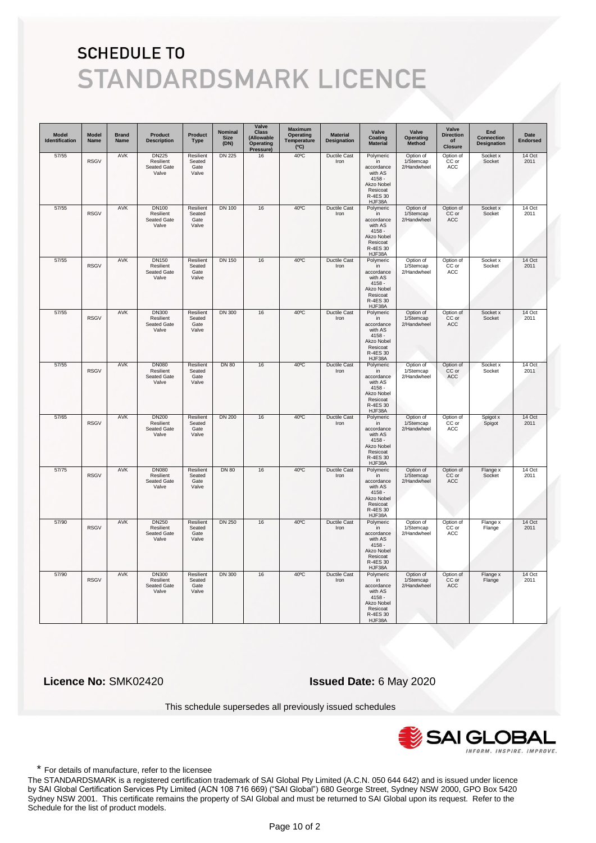| <b>Model</b><br>Identification | <b>Model</b><br>Name | <b>Brand</b><br>Name | Product<br><b>Description</b>                            | <b>Product</b><br><b>Type</b>        | Nominal<br><b>Size</b><br>(DN) | Valve<br><b>Class</b><br>(Allowable<br>Operating<br>Pressure) | <b>Maximum</b><br>Operating<br>Temperature<br>(C) | <b>Material</b><br>Designation | Valve<br>Coating<br><b>Material</b>                                                                  | Valve<br><b>Operating</b><br>Method   | Valve<br><b>Direction</b><br>of<br><b>Closure</b> | End<br><b>Connection</b><br>Designation | Date<br><b>Endorsed</b> |
|--------------------------------|----------------------|----------------------|----------------------------------------------------------|--------------------------------------|--------------------------------|---------------------------------------------------------------|---------------------------------------------------|--------------------------------|------------------------------------------------------------------------------------------------------|---------------------------------------|---------------------------------------------------|-----------------------------------------|-------------------------|
| 57/55                          | <b>RSGV</b>          | <b>AVK</b>           | <b>DN225</b><br>Resilient<br>Seated Gate<br>Valve        | Resilient<br>Seated<br>Gate<br>Valve | <b>DN 225</b>                  | 16                                                            | $40^{\circ}$ C                                    | Ductile Cast<br>Iron           | Polymeric<br>in<br>accordance<br>with AS<br>$4158 -$<br>Akzo Nobel<br>Resicoat<br>R-4ES 30<br>HJF38A | Option of<br>1/Stemcap<br>2/Handwheel | Option of<br>CC or<br>ACC                         | Socket x<br>Socket                      | 14 Oct<br>2011          |
| 57/55                          | <b>RSGV</b>          | AVK                  | <b>DN100</b><br>Resilient<br>Seated Gate<br>Valve        | Resilient<br>Seated<br>Gate<br>Valve | <b>DN 100</b>                  | 16                                                            | $40^{\circ}$ C                                    | Ductile Cast<br>Iron           | Polymeric<br>in<br>accordance<br>with AS<br>$4158 -$<br>Akzo Nobel<br>Resicoat<br>R-4ES 30<br>HJF38A | Option of<br>1/Stemcap<br>2/Handwheel | Option of<br>CC or<br>ACC                         | Socket x<br>Socket                      | 14 Oct<br>2011          |
| 57/55                          | <b>RSGV</b>          | AVK                  | <b>DN150</b><br>Resilient<br>Seated Gate<br>Valve        | Resilient<br>Seated<br>Gate<br>Valve | <b>DN 150</b>                  | 16                                                            | $40^{\circ}$ C                                    | Ductile Cast<br>Iron           | Polymeric<br>in<br>accordance<br>with AS<br>$4158 -$<br>Akzo Nobel<br>Resicoat<br>R-4ES 30<br>HJF38A | Option of<br>1/Stemcap<br>2/Handwheel | Option of<br>CC or<br>ACC                         | Socket x<br>Socket                      | 14 Oct<br>2011          |
| 57/55                          | <b>RSGV</b>          | <b>AVK</b>           | <b>DN300</b><br>Resilient<br><b>Seated Gate</b><br>Valve | Resilient<br>Seated<br>Gate<br>Valve | <b>DN 300</b>                  | 16                                                            | $40^{\circ}$ C                                    | <b>Ductile Cast</b><br>Iron    | Polymeric<br>in<br>accordance<br>with AS<br>$4158 -$<br>Akzo Nobel<br>Resicoat<br>R-4ES 30<br>HJF38A | Option of<br>1/Stemcap<br>2/Handwheel | Option of<br>CC or<br>ACC                         | Socket x<br>Socket                      | 14 Oct<br>2011          |
| 57/55                          | <b>RSGV</b>          | AVK                  | <b>DN080</b><br>Resilient<br>Seated Gate<br>Valve        | Resilient<br>Seated<br>Gate<br>Valve | <b>DN 80</b>                   | 16                                                            | $40^{\circ}$ C                                    | <b>Ductile Cast</b><br>Iron    | Polymeric<br>in<br>accordance<br>with AS<br>$4158 -$<br>Akzo Nobel<br>Resicoat<br>R-4ES 30<br>HJF38A | Option of<br>1/Stemcap<br>2/Handwheel | Option of<br>CC or<br>ACC                         | Socket x<br>Socket                      | 14 Oct<br>2011          |
| 57/65                          | <b>RSGV</b>          | <b>AVK</b>           | <b>DN200</b><br>Resilient<br>Seated Gate<br>Valve        | Resilient<br>Seated<br>Gate<br>Valve | <b>DN 200</b>                  | 16                                                            | $40^{\circ}$ C                                    | <b>Ductile Cast</b><br>Iron    | Polymeric<br>in<br>accordance<br>with AS<br>$4158 -$<br>Akzo Nobel<br>Resicoat<br>R-4ES 30<br>HJF38A | Option of<br>1/Stemcap<br>2/Handwheel | Option of<br>CC or<br>ACC                         | Spigot x<br>Spigot                      | 14 Oct<br>2011          |
| 57/75                          | <b>RSGV</b>          | <b>AVK</b>           | <b>DN080</b><br>Resilient<br>Seated Gate<br>Valve        | Resilient<br>Seated<br>Gate<br>Valve | <b>DN 80</b>                   | 16                                                            | $40^{\circ}$ C                                    | <b>Ductile Cast</b><br>Iron    | Polymeric<br>in<br>accordance<br>with AS<br>$4158 -$<br>Akzo Nobel<br>Resicoat<br>R-4ES 30<br>HJF38A | Option of<br>1/Stemcap<br>2/Handwheel | Option of<br>CC or<br>ACC                         | Flange x<br>Socket                      | 14 Oct<br>2011          |
| 57/90                          | <b>RSGV</b>          | AVK                  | <b>DN250</b><br>Resilient<br>Seated Gate<br>Valve        | Resilient<br>Seated<br>Gate<br>Valve | <b>DN 250</b>                  | 16                                                            | 40°C                                              | <b>Ductile Cast</b><br>Iron    | Polymeric<br>in<br>accordance<br>with AS<br>4158 -<br>Akzo Nobel<br>Resicoat<br>R-4ES 30<br>HJF38A   | Option of<br>1/Stemcap<br>2/Handwheel | Option of<br>CC or<br>ACC                         | Flange x<br>Flange                      | 14 Oct<br>2011          |
| 57/90                          | <b>RSGV</b>          | <b>AVK</b>           | <b>DN300</b><br>Resilient<br>Seated Gate<br>Valve        | Resilient<br>Seated<br>Gate<br>Valve | <b>DN 300</b>                  | 16                                                            | $40^{\circ}$ C                                    | <b>Ductile Cast</b><br>Iron    | Polymeric<br>in<br>accordance<br>with AS<br>$4158 -$<br>Akzo Nobel<br>Resicoat<br>R-4ES 30<br>HJF38A | Option of<br>1/Stemcap<br>2/Handwheel | Option of<br>CC or<br>ACC                         | Flange x<br>Flange                      | 14 Oct<br>2011          |

 **Licence No:** SMK02420 **Issued Date:** 6 May 2020

This schedule supersedes all previously issued schedules



\* For details of manufacture, refer to the licensee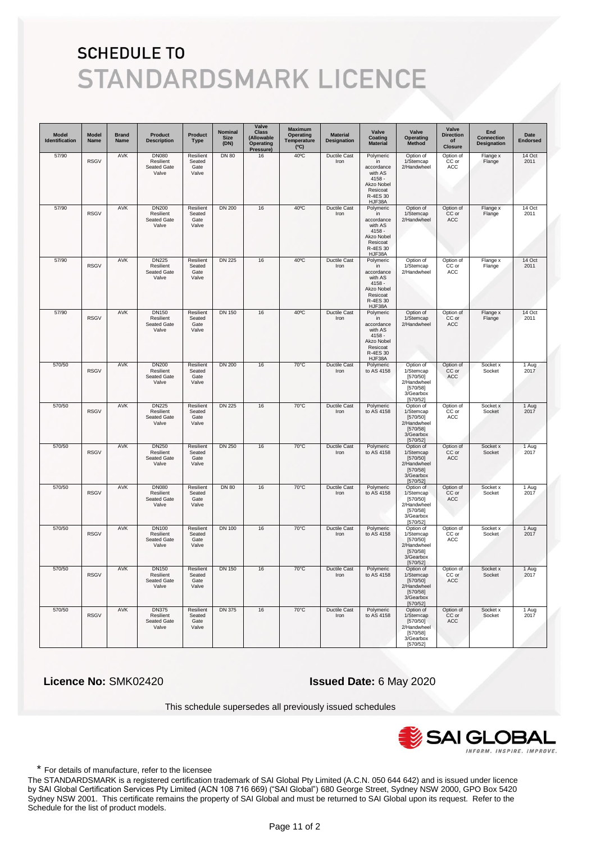| <b>Model</b><br>Identification | <b>Model</b><br>Name | <b>Brand</b><br><b>Name</b> | <b>Product</b><br><b>Description</b>              | Product<br><b>Type</b>               | <b>Nominal</b><br><b>Size</b><br>(DN) | Valve<br><b>Class</b><br>(Allowable<br>Operating<br>Pressure) | Maximum<br><b>Operating</b><br>Temperature<br>(C) | <b>Material</b><br>Designation | Valve<br>Coating<br><b>Material</b>                                                                  | Valve<br>Operating<br><b>Method</b>                                                    | Valve<br><b>Direction</b><br>of<br><b>Closure</b> | End<br>Connection<br><b>Designation</b> | Date<br><b>Endorsed</b> |
|--------------------------------|----------------------|-----------------------------|---------------------------------------------------|--------------------------------------|---------------------------------------|---------------------------------------------------------------|---------------------------------------------------|--------------------------------|------------------------------------------------------------------------------------------------------|----------------------------------------------------------------------------------------|---------------------------------------------------|-----------------------------------------|-------------------------|
| 57/90                          | <b>RSGV</b>          | AVK                         | <b>DN080</b><br>Resilient<br>Seated Gate<br>Valve | Resilient<br>Seated<br>Gate<br>Valve | <b>DN 80</b>                          | 16                                                            | $40^{\circ}$ C                                    | Ductile Cast<br>Iron           | Polymeric<br>in<br>accordance<br>with AS<br>$4158 -$<br>Akzo Nobel<br>Resicoat<br>R-4ES 30<br>HJF38A | Option of<br>1/Stemcap<br>2/Handwheel                                                  | Option of<br>CC or<br>ACC                         | Flange x<br>Flange                      | 14 Oct<br>2011          |
| 57/90                          | <b>RSGV</b>          | <b>AVK</b>                  | <b>DN200</b><br>Resilient<br>Seated Gate<br>Valve | Resilient<br>Seated<br>Gate<br>Valve | <b>DN 200</b>                         | 16                                                            | $40^{\circ}$ C                                    | <b>Ductile Cast</b><br>Iron    | Polymeric<br>in<br>accordance<br>with AS<br>$4158 -$<br>Akzo Nobel<br>Resicoat<br>R-4ES 30<br>HJF38A | Option of<br>1/Stemcap<br>2/Handwheel                                                  | Option of<br>CC or<br><b>ACC</b>                  | Flange x<br>Flange                      | 14 Oct<br>2011          |
| 57/90                          | <b>RSGV</b>          | AVK                         | <b>DN225</b><br>Resilient<br>Seated Gate<br>Valve | Resilient<br>Seated<br>Gate<br>Valve | <b>DN 225</b>                         | 16                                                            | $40^{\circ}$ C                                    | Ductile Cast<br>Iron           | Polymeric<br>in<br>accordance<br>with AS<br>$4158 -$<br>Akzo Nobel<br>Resicoat<br>R-4ES 30<br>HJF38A | Option of<br>1/Stemcap<br>2/Handwheel                                                  | Option of<br>CC or<br>ACC                         | Flange x<br>Flange                      | 14 Oct<br>2011          |
| 57/90                          | <b>RSGV</b>          | AVK                         | <b>DN150</b><br>Resilient<br>Seated Gate<br>Valve | Resilient<br>Seated<br>Gate<br>Valve | <b>DN 150</b>                         | 16                                                            | $40^{\circ}$ C                                    | Ductile Cast<br>Iron           | Polymeric<br>in<br>accordance<br>with AS<br>$4158 -$<br>Akzo Nobel<br>Resicoat<br>R-4ES 30<br>HJF38A | Option of<br>1/Stemcap<br>2/Handwheel                                                  | Option of<br>CC or<br>ACC                         | Flange x<br>Flange                      | 14 Oct<br>2011          |
| 570/50                         | <b>RSGV</b>          | AVK                         | <b>DN200</b><br>Resilient<br>Seated Gate<br>Valve | Resilient<br>Seated<br>Gate<br>Valve | <b>DN 200</b>                         | 16                                                            | $70^{\circ}$ C                                    | <b>Ductile Cast</b><br>Iron    | Polymeric<br>to AS 4158                                                                              | Option of<br>1/Stemcap<br>[570/50]<br>2/Handwheel<br>[570/58]<br>3/Gearbox<br>[570/52] | Option of<br>CC or<br>ACC                         | Socket x<br>Socket                      | 1 Aug<br>2017           |
| 570/50                         | <b>RSGV</b>          | <b>AVK</b>                  | <b>DN225</b><br>Resilient<br>Seated Gate<br>Valve | Resilient<br>Seated<br>Gate<br>Valve | <b>DN 225</b>                         | 16                                                            | $70^{\circ}$ C                                    | <b>Ductile Cast</b><br>Iron    | Polymeric<br>to AS 4158                                                                              | Option of<br>1/Stemcap<br>[570/50]<br>2/Handwheel<br>[570/58]<br>3/Gearbox<br>[570/52] | Option of<br>CC or<br><b>ACC</b>                  | Socket x<br>Socket                      | 1 Aug<br>2017           |
| 570/50                         | <b>RSGV</b>          | <b>AVK</b>                  | <b>DN250</b><br>Resilient<br>Seated Gate<br>Valve | Resilient<br>Seated<br>Gate<br>Valve | <b>DN 250</b>                         | 16                                                            | $70^{\circ}$ C                                    | Ductile Cast<br>Iron           | Polymeric<br>to AS 4158                                                                              | Option of<br>1/Stemcap<br>[570/50]<br>2/Handwheel<br>[570/58]<br>3/Gearbox<br>[570/52] | Option of<br>CC or<br>ACC                         | Socket x<br>Socket                      | 1 Aug<br>2017           |
| 570/50                         | <b>RSGV</b>          | AVK                         | <b>DN080</b><br>Resilient<br>Seated Gate<br>Valve | Resilient<br>Seated<br>Gate<br>Valve | <b>DN 80</b>                          | 16                                                            | 70°C                                              | Ductile Cast<br>Iron           | Polymeric<br>to AS 4158                                                                              | Option of<br>1/Stemcap<br>[570/50]<br>2/Handwheel<br>[570/58]<br>3/Gearbox<br>[570/52] | Option of<br>CC or<br>ACC                         | Socket x<br>Socket                      | 1 Aug<br>2017           |
| 570/50                         | <b>RSGV</b>          | AVK                         | <b>DN100</b><br>Resilient<br>Seated Gate<br>Valve | Resilient<br>Seated<br>Gate<br>Valve | <b>DN 100</b>                         | 16                                                            | $70^{\circ}$ C                                    | <b>Ductile Cast</b><br>Iron    | Polymeric<br>to AS 4158                                                                              | Option of<br>1/Stemcap<br>[570/50]<br>2/Handwheel<br>[570/58]<br>3/Gearbox<br>[570/52] | Option of<br>CC or<br>ACC                         | Socket x<br>Socket                      | 1 Aug<br>2017           |
| 570/50                         | <b>RSGV</b>          | <b>AVK</b>                  | <b>DN150</b><br>Resilient<br>Seated Gate<br>Valve | Resilient<br>Seated<br>Gate<br>Valve | DN 150                                | 16                                                            | $70^{\circ}$ C                                    | <b>Ductile Cast</b><br>Iron    | Polymeric<br>to AS 4158                                                                              | Option of<br>1/Stemcap<br>[570/50]<br>2/Handwheel<br>[570/58]<br>3/Gearbox<br>[570/52] | Option of<br>CC or<br>ACC                         | Socket x<br>Socket                      | 1 Aug<br>2017           |
| 570/50                         | <b>RSGV</b>          | AVK                         | <b>DN375</b><br>Resilient<br>Seated Gate<br>Valve | Resilient<br>Seated<br>Gate<br>Valve | <b>DN 375</b>                         | 16                                                            | 70°C                                              | Ductile Cast<br>Iron           | Polymeric<br>to AS 4158                                                                              | Option of<br>1/Stemcap<br>[570/50]<br>2/Handwheel<br>[570/58]<br>3/Gearbox<br>[570/52] | Option of<br>CC or<br>ACC                         | Socket x<br>Socket                      | 1 Aug<br>2017           |

 **Licence No:** SMK02420 **Issued Date:** 6 May 2020

This schedule supersedes all previously issued schedules



\* For details of manufacture, refer to the licensee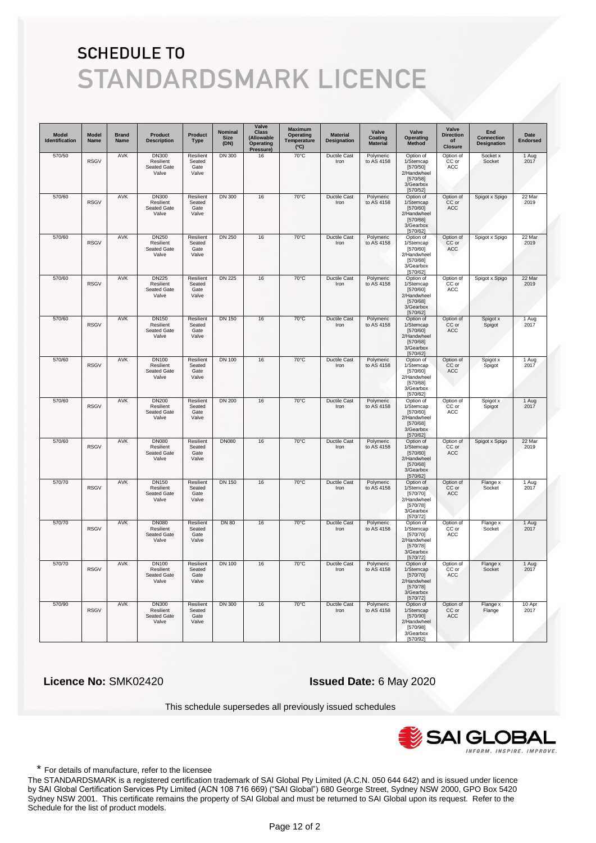| Model<br>Identification | <b>Model</b><br>Name | <b>Brand</b><br><b>Name</b> | <b>Product</b><br><b>Description</b>                     | Product<br><b>Type</b>               | Nominal<br><b>Size</b><br>(DN) | Valve<br><b>Class</b><br>(Allowable<br>Operating<br>Pressure | <b>Maximum</b><br><b>Operating</b><br>Temperature<br>(C) | <b>Material</b><br>Designation | Valve<br>Coating<br><b>Material</b> | Valve<br>Operating<br>Method                                                           | Valve<br><b>Direction</b><br>of<br><b>Closure</b> | End<br><b>Connection</b><br><b>Designation</b> | Date<br><b>Endorsed</b> |
|-------------------------|----------------------|-----------------------------|----------------------------------------------------------|--------------------------------------|--------------------------------|--------------------------------------------------------------|----------------------------------------------------------|--------------------------------|-------------------------------------|----------------------------------------------------------------------------------------|---------------------------------------------------|------------------------------------------------|-------------------------|
| 570/50                  | <b>RSGV</b>          | <b>AVK</b>                  | <b>DN300</b><br>Resilient<br>Seated Gate<br>Valve        | Resilient<br>Seated<br>Gate<br>Valve | <b>DN 300</b>                  | 16                                                           | $70^{\circ}$ C                                           | <b>Ductile Cast</b><br>Iron    | Polymeric<br>to AS 4158             | Option of<br>1/Stemcap<br>[570/50]<br>2/Handwheel<br>[570/58]<br>3/Gearbox<br>[570/52] | Option of<br>CC or<br>ACC                         | Socket x<br>Socket                             | 1 Aug<br>2017           |
| 570/60                  | <b>RSGV</b>          | AVK                         | <b>DN300</b><br>Resilient<br>Seated Gate<br>Valve        | Resilient<br>Seated<br>Gate<br>Valve | <b>DN 300</b>                  | 16                                                           | 70°C                                                     | Ductile Cast<br>Iron           | Polymeric<br>to AS 4158             | Option of<br>1/Stemcap<br>[570/60]<br>2/Handwheel<br>[570/68]<br>3/Gearbox<br>[570/62] | Option of<br>CC or<br>ACC                         | Spigot x Spigo                                 | 22 Mar<br>2019          |
| 570/60                  | <b>RSGV</b>          | <b>AVK</b>                  | <b>DN250</b><br>Resilient<br>Seated Gate<br>Valve        | Resilient<br>Seated<br>Gate<br>Valve | <b>DN 250</b>                  | 16                                                           | $70^{\circ}$ C                                           | <b>Ductile Cast</b><br>Iron    | Polymeric<br>to AS 4158             | Option of<br>1/Stemcap<br>[570/60]<br>2/Handwheel<br>[570/68]<br>3/Gearbox<br>[570/62] | Option of<br>CC or<br>ACC                         | Spigot x Spigo                                 | 22 Mar<br>2019          |
| 570/60                  | <b>RSGV</b>          | <b>AVK</b>                  | <b>DN225</b><br>Resilient<br>Seated Gate<br>Valve        | Resilient<br>Seated<br>Gate<br>Valve | <b>DN 225</b>                  | 16                                                           | $70^{\circ}$ C                                           | <b>Ductile Cast</b><br>Iron    | Polymeric<br>to AS 4158             | Option of<br>1/Stemcap<br>[570/60]<br>2/Handwheel<br>[570/68]<br>3/Gearbox<br>[570/62] | Option of<br>CC or<br>ACC                         | Spigot x Spigo                                 | 22 Mar<br>2019          |
| 570/60                  | <b>RSGV</b>          | <b>AVK</b>                  | <b>DN150</b><br>Resilient<br>Seated Gate<br>Valve        | Resilient<br>Seated<br>Gate<br>Valve | <b>DN 150</b>                  | 16                                                           | $70^{\circ}$ C                                           | <b>Ductile Cast</b><br>Iron    | Polymeric<br>to AS 4158             | Option of<br>1/Stemcap<br>[570/60]<br>2/Handwheel<br>[570/68]<br>3/Gearbox<br>[570/62] | Option of<br>CC or<br>ACC                         | Spigot x<br>Spigot                             | 1 Aug<br>2017           |
| 570/60                  | <b>RSGV</b>          | <b>AVK</b>                  | <b>DN100</b><br>Resilient<br>Seated Gate<br>Valve        | Resilient<br>Seated<br>Gate<br>Valve | <b>DN 100</b>                  | 16                                                           | $70^{\circ}$ C                                           | <b>Ductile Cast</b><br>Iron    | Polymeric<br>to AS 4158             | Option of<br>1/Stemcap<br>[570/60]<br>2/Handwheel<br>[570/68]<br>3/Gearbox<br>[570/62] | Option of<br>CC or<br>ACC                         | Spigot x<br>Spigot                             | 1 Aug<br>2017           |
| 570/60                  | <b>RSGV</b>          | <b>AVK</b>                  | <b>DN200</b><br>Resilient<br>Seated Gate<br>Valve        | Resilient<br>Seated<br>Gate<br>Valve | <b>DN 200</b>                  | 16                                                           | $70^{\circ}$ C                                           | <b>Ductile Cast</b><br>Iron    | Polymeric<br>to AS 4158             | Option of<br>1/Stemcap<br>[570/60]<br>2/Handwheel<br>[570/68]<br>3/Gearbox<br>[570/62] | Option of<br>CC or<br>ACC                         | Spigot x<br>Spigot                             | 1 Aug<br>2017           |
| 570/60                  | <b>RSGV</b>          | <b>AVK</b>                  | <b>DN080</b><br>Resilient<br><b>Seated Gate</b><br>Valve | Resilient<br>Seated<br>Gate<br>Valve | <b>DN080</b>                   | 16                                                           | $70^{\circ}$ C                                           | <b>Ductile Cast</b><br>Iron    | Polymeric<br>to AS 4158             | Option of<br>1/Stemcap<br>[570/60]<br>2/Handwheel<br>[570/68]<br>3/Gearbox<br>[570/62] | Option of<br>CC or<br>ACC                         | Spigot x Spigo                                 | 22 Mar<br>2019          |
| 570/70                  | <b>RSGV</b>          | AVK                         | <b>DN150</b><br>Resilient<br>Seated Gate<br>Valve        | Resilient<br>Seated<br>Gate<br>Valve | <b>DN 150</b>                  | 16                                                           | $70^{\circ}$ C                                           | <b>Ductile Cast</b><br>Iron    | Polymeric<br>to AS 4158             | Option of<br>1/Stemcap<br>[570/70]<br>2/Handwheel<br>[570/78]<br>3/Gearbox<br>[570/72] | Option of<br>CC or<br>ACC                         | Flange x<br>Socket                             | 1 Aug<br>2017           |
| 570/70                  | <b>RSGV</b>          | <b>AVK</b>                  | <b>DN080</b><br>Resilient<br><b>Seated Gate</b><br>Valve | Resilient<br>Seated<br>Gate<br>Valve | <b>DN 80</b>                   | 16                                                           | $70^{\circ}$ C                                           | <b>Ductile Cast</b><br>Iron    | Polymeric<br>to AS 4158             | Option of<br>1/Stemcap<br>[570/70]<br>2/Handwheel<br>[570/78]<br>3/Gearbox<br>[570/72] | Option of<br>CC or<br>ACC                         | Flange x<br>Socket                             | 1 Aug<br>2017           |
| 570/70                  | <b>RSGV</b>          | <b>AVK</b>                  | <b>DN100</b><br>Resilient<br>Seated Gate<br>Valve        | Resilient<br>Seated<br>Gate<br>Valve | <b>DN 100</b>                  | 16                                                           | $70^{\circ}$ C                                           | <b>Ductile Cast</b><br>Iron    | Polymeric<br>to AS 4158             | Option of<br>1/Stemcap<br>[570/70]<br>2/Handwheel<br>[570/78]<br>3/Gearbox<br>[570/72] | Option of<br>CC or<br>ACC                         | Flange x<br>Socket                             | 1 Aug<br>2017           |
| 570/90                  | <b>RSGV</b>          | <b>AVK</b>                  | <b>DN300</b><br>Resilient<br><b>Seated Gate</b><br>Valve | Resilient<br>Seated<br>Gate<br>Valve | <b>DN 300</b>                  | 16                                                           | $70^{\circ}$ C                                           | <b>Ductile Cast</b><br>Iron    | Polymeric<br>to AS 4158             | Option of<br>1/Stemcap<br>[570/90]<br>2/Handwheel<br>[570/98]<br>3/Gearbox<br>[570/92] | Option of<br>CC or<br>ACC                         | Flange x<br>Flange                             | 10 Apr<br>2017          |

 **Licence No:** SMK02420 **Issued Date:** 6 May 2020

This schedule supersedes all previously issued schedules



\* For details of manufacture, refer to the licensee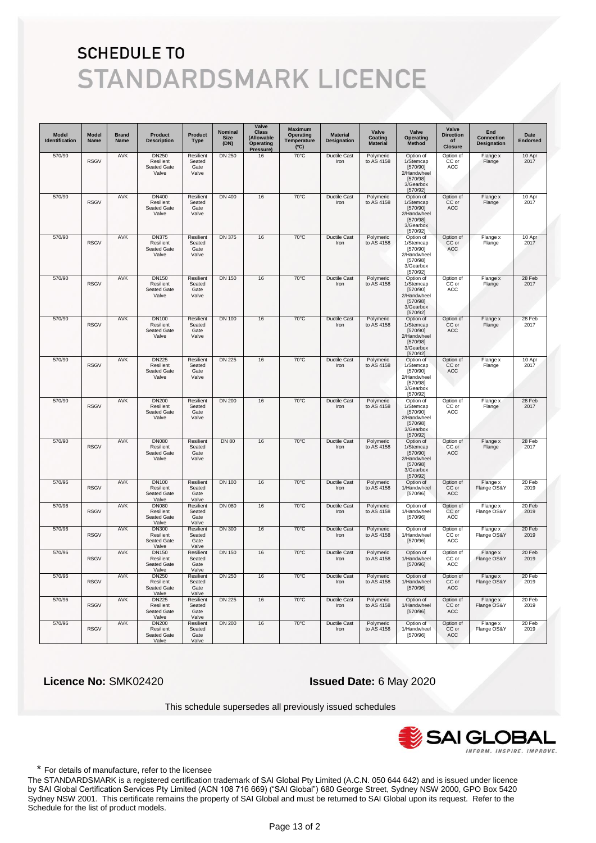| <b>Model</b><br>Identification | Model<br>Name | <b>Brand</b><br><b>Name</b> | <b>Product</b><br><b>Description</b>                     | Product<br><b>Type</b>               | Nominal<br><b>Size</b><br>(DN) | Valve<br><b>Class</b><br>(Allowable<br>Operating<br>Pressure) | <b>Maximum</b><br>Operating<br>Temperature<br>(C) | <b>Material</b><br><b>Designation</b> | Valve<br>Coating<br><b>Material</b> | Valve<br>Operating<br>Method                                                           | Valve<br><b>Direction</b><br>of<br><b>Closure</b> | End<br><b>Connection</b><br><b>Designation</b> | Date<br><b>Endorsed</b> |
|--------------------------------|---------------|-----------------------------|----------------------------------------------------------|--------------------------------------|--------------------------------|---------------------------------------------------------------|---------------------------------------------------|---------------------------------------|-------------------------------------|----------------------------------------------------------------------------------------|---------------------------------------------------|------------------------------------------------|-------------------------|
| 570/90                         | <b>RSGV</b>   | <b>AVK</b>                  | <b>DN250</b><br>Resilient<br>Seated Gate<br>Valve        | Resilient<br>Seated<br>Gate<br>Valve | <b>DN 250</b>                  | 16                                                            | $70^{\circ}$ C                                    | Ductile Cast<br>Iron                  | Polymeric<br>to AS 4158             | Option of<br>1/Stemcap<br>[570/90]<br>2/Handwheel<br>[570/98]<br>3/Gearbox<br>[570/92] | Option of<br>CC or<br>ACC                         | Flange x<br>Flange                             | 10 Apr<br>2017          |
| 570/90                         | <b>RSGV</b>   | AVK                         | DN400<br>Resilient<br>Seated Gate<br>Valve               | Resilient<br>Seated<br>Gate<br>Valve | <b>DN 400</b>                  | 16                                                            | 70°C                                              | <b>Ductile Cast</b><br>Iron           | Polymeric<br>to AS 4158             | Option of<br>1/Stemcap<br>[570/90]<br>2/Handwheel<br>[570/98]<br>3/Gearbox<br>[570/92] | Option of<br>CC or<br><b>ACC</b>                  | Flange x<br>Flange                             | 10 Apr<br>2017          |
| 570/90                         | <b>RSGV</b>   | <b>AVK</b>                  | <b>DN375</b><br>Resilient<br>Seated Gate<br>Valve        | Resilient<br>Seated<br>Gate<br>Valve | <b>DN 375</b>                  | 16                                                            | 70°C                                              | <b>Ductile Cast</b><br>Iron           | Polymeric<br>to AS 4158             | Option of<br>1/Stemcap<br>[570/90]<br>2/Handwheel<br>[570/98]<br>3/Gearbox<br>[570/92] | Option of<br>CC or<br>ACC                         | Flange x<br>Flange                             | 10 Apr<br>2017          |
| 570/90                         | <b>RSGV</b>   | <b>AVK</b>                  | <b>DN150</b><br>Resilient<br>Seated Gate<br>Valve        | Resilient<br>Seated<br>Gate<br>Valve | <b>DN 150</b>                  | 16                                                            | $70^{\circ}$ C                                    | <b>Ductile Cast</b><br>Iron           | Polymeric<br>to AS 4158             | Option of<br>1/Stemcap<br>[570/90]<br>2/Handwheel<br>[570/98]<br>3/Gearbox<br>[570/92] | Option of<br>CC or<br>ACC                         | Flange x<br>Flange                             | 28 Feb<br>2017          |
| 570/90                         | <b>RSGV</b>   | <b>AVK</b>                  | <b>DN100</b><br>Resilient<br>Seated Gate<br>Valve        | Resilient<br>Seated<br>Gate<br>Valve | <b>DN 100</b>                  | 16                                                            | 70°C                                              | <b>Ductile Cast</b><br>Iron           | Polymeric<br>to AS 4158             | Option of<br>1/Stemcap<br>[570/90]<br>2/Handwheel<br>[570/98]<br>3/Gearbox<br>[570/92] | Option of<br>CC or<br><b>ACC</b>                  | Flange x<br>Flange                             | 28 Feb<br>2017          |
| 570/90                         | <b>RSGV</b>   | AVK                         | <b>DN225</b><br>Resilient<br>Seated Gate<br>Valve        | Resilient<br>Seated<br>Gate<br>Valve | <b>DN 225</b>                  | 16                                                            | $70^{\circ}$ C                                    | <b>Ductile Cast</b><br>Iron           | Polymeric<br>to AS 4158             | Option of<br>1/Stemcap<br>[570/90]<br>2/Handwheel<br>[570/98]<br>3/Gearbox<br>[570/92] | Option of<br>CC or<br>ACC                         | Flange x<br>Flange                             | 10 Apr<br>2017          |
| 570/90                         | <b>RSGV</b>   | AVK                         | <b>DN200</b><br>Resilient<br>Seated Gate<br>Valve        | Resilient<br>Seated<br>Gate<br>Valve | <b>DN 200</b>                  | 16                                                            | $70^{\circ}$ C                                    | <b>Ductile Cast</b><br>Iron           | Polymeric<br>to AS 4158             | Option of<br>1/Stemcap<br>[570/90]<br>2/Handwheel<br>[570/98]<br>3/Gearbox<br>[570/92] | Option of<br>CC or<br><b>ACC</b>                  | Flange x<br>Flange                             | 28 Feb<br>2017          |
| 570/90                         | <b>RSGV</b>   | <b>AVK</b>                  | <b>DN080</b><br>Resilient<br>Seated Gate<br>Valve        | Resilient<br>Seated<br>Gate<br>Valve | <b>DN 80</b>                   | 16                                                            | $70^{\circ}$ C                                    | Ductile Cast<br>Iron                  | Polymeric<br>to AS 4158             | Option of<br>1/Stemcap<br>[570/90]<br>2/Handwheel<br>[570/98]<br>3/Gearbox<br>[570/92] | Option of<br>CC or<br>ACC                         | Flange x<br>Flange                             | 28 Feb<br>2017          |
| 570/96                         | <b>RSGV</b>   | <b>AVK</b>                  | <b>DN100</b><br>Resilient<br>Seated Gate<br>Valve        | Resilient<br>Seated<br>Gate<br>Valve | <b>DN 100</b>                  | 16                                                            | $70^{\circ}$ C                                    | <b>Ductile Cast</b><br>Iron           | Polymeric<br>to AS 4158             | Option of<br>1/Handwheel<br>[570/96]                                                   | Option of<br>CC or<br>ACC                         | Flange x<br>Flange OS&Y                        | 20 Feb<br>2019          |
| 570/96                         | <b>RSGV</b>   | <b>AVK</b>                  | <b>DN080</b><br>Resilient<br>Seated Gate<br>Valve        | Resilient<br>Seated<br>Gate<br>Valve | <b>DN 080</b>                  | 16                                                            | $70^{\circ}$ C                                    | <b>Ductile Cast</b><br>Iron           | Polymeric<br>to AS 4158             | Option of<br>1/Handwheel<br>[570/96]                                                   | Option of<br>CC or<br>ACC                         | Flange x<br>Flange OS&Y                        | 20 Feb<br>2019          |
| 570/96                         | <b>RSGV</b>   | <b>AVK</b>                  | <b>DN300</b><br>Resilient<br>Seated Gate<br>Valve        | Resilient<br>Seated<br>Gate<br>Valve | <b>DN 300</b>                  | 16                                                            | 70°C                                              | <b>Ductile Cast</b><br>Iron           | Polymeric<br>to AS 4158             | Option of<br>1/Handwheel<br>[570/96]                                                   | Option of<br>CC or<br>ACC                         | Flange x<br>Flange OS&Y                        | 20 Feb<br>2019          |
| 570/96                         | <b>RSGV</b>   | AVK                         | <b>DN150</b><br>Resilient<br><b>Seated Gate</b><br>Valve | Resilient<br>Seated<br>Gate<br>Valve | <b>DN 150</b>                  | 16                                                            | $70^{\circ}$ C                                    | Ductile Cast<br>Iron                  | Polymeric<br>to AS 4158             | Option of<br>1/Handwheel<br>[570/96]                                                   | Option of<br>CC or<br>ACC                         | Flange x<br>Flange OS&Y                        | 20 Feb<br>2019          |
| 570/96                         | <b>RSGV</b>   | <b>AVK</b>                  | <b>DN250</b><br>Resilient<br>Seated Gate<br>Valve        | Resilient<br>Seated<br>Gate<br>Valve | <b>DN 250</b>                  | 16                                                            | $70^{\circ}$ C                                    | <b>Ductile Cast</b><br>Iron           | Polymeric<br>to AS 4158             | Option of<br>1/Handwheel<br>[570/96]                                                   | Option of<br>CC or<br>ACC                         | Flange x<br>Flange OS&Y                        | 20 Feb<br>2019          |
| 570/96                         | <b>RSGV</b>   | <b>AVK</b>                  | <b>DN225</b><br>Resilient<br>Seated Gate<br>Valve        | Resilient<br>Seated<br>Gate<br>Valve | <b>DN 225</b>                  | 16                                                            | 70°C                                              | Ductile Cast<br>Iron                  | Polymeric<br>to AS 4158             | Option of<br>1/Handwheel<br>[570/96]                                                   | Option of<br>CC or<br><b>ACC</b>                  | Flange x<br>Flange OS&Y                        | 20 Feb<br>2019          |
| 570/96                         | <b>RSGV</b>   | <b>AVK</b>                  | <b>DN200</b><br>Resilient<br>Seated Gate<br>Valve        | Resilient<br>Seated<br>Gate<br>Valve | <b>DN 200</b>                  | 16                                                            | 70°C                                              | <b>Ductile Cast</b><br>Iron           | Polymeric<br>to AS 4158             | Option of<br>1/Handwheel<br>[570/96]                                                   | Option of<br>CC or<br>ACC                         | Flange x<br>Flange OS&Y                        | 20 Feb<br>2019          |

 **Licence No:** SMK02420 **Issued Date:** 6 May 2020

This schedule supersedes all previously issued schedules



\* For details of manufacture, refer to the licensee